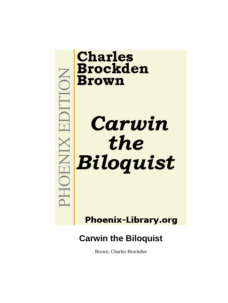

Brown, Charles Brockden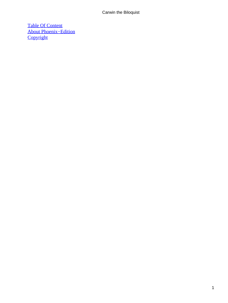[Table Of Content](#page-51-0) [About Phoenix−Edition](#page-52-0) **[Copyright](#page-55-0)**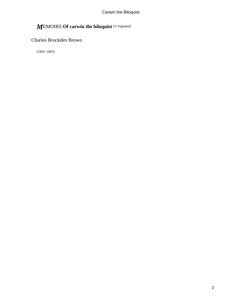# *M*EMOIRS **Of carwin the biloquist** [A fragment]

## Charles Brockden Brown

[1803−1805]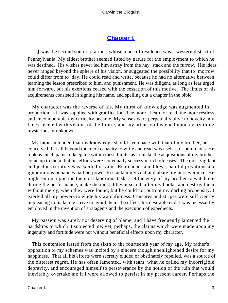## **[Chapter I.](#page-51-0)**

<span id="page-3-0"></span>*I* was the second son of a farmer, whose place of residence was a western district of Pennsylvania. My eldest brother seemed fitted by nature for the employment to which he was destined. His wishes never led him astray from the hay−stack and the furrow. His ideas never ranged beyond the sphere of his vision, or suggested the possibility that to−morrow could differ from to−day. He could read and write, because he had no alternative between learning the lesson prescribed to him, and punishment. He was diligent, as long as fear urged him forward, but his exertions ceased with the cessation of this motive. The limits of his acquirements consisted in signing his name, and spelling out a chapter in the bible.

 My character was the reverse of his. My thirst of knowledge was augmented in proportion as it was supplied with gratification. The more I heard or read, the more restless and unconquerable my curiosity became. My senses were perpetually alive to novelty, my fancy teemed with visions of the future, and my attention fastened upon every thing mysterious or unknown.

 My father intended that my knowledge should keep pace with that of my brother, but conceived that all beyond the mere capacity to write and read was useless or pernicious. He took as much pains to keep me within these limits, as to make the acquisitions of my brother come up to them, but his efforts were not equally successful in both cases. The most vigilant and jealous scrutiny was exerted in vain: Reproaches and blows, painful privations and ignominious penances had no power to slacken my zeal and abate my perseverance. He might enjoin upon me the most laborious tasks, set the envy of my brother to watch me during the performance, make the most diligent search after my books, and destroy them without mercy, when they were found; but he could not outroot my darling propensity. I exerted all my powers to elude his watchfulness. Censures and stripes were sufficiently unpleasing to make me strive to avoid them. To effect this desirable end, I was incessantly employed in the invention of stratagems and the execution of expedients.

 My passion was surely not deserving of blame, and I have frequently lamented the hardships to which it subjected me; yet, perhaps, the claims which were made upon my ingenuity and fortitude were not without beneficial effects upon my character.

 This contention lasted from the sixth to the fourteenth year of my age. My father's opposition to my schemes was incited by a sincere though unenlightened desire for my happiness. That all his efforts were secretly eluded or obstinately repelled, was a source of the bitterest regret. He has often lamented, with tears, what he called my incorrigible depravity, and encouraged himself to perseverance by the notion of the ruin that would inevitably overtake me if I were allowed to persist in my present career. Perhaps the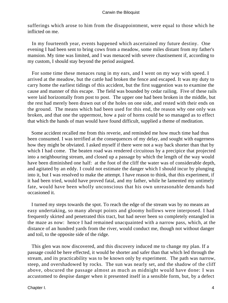sufferings which arose to him from the disappointment, were equal to those which he inflicted on me.

 In my fourteenth year, events happened which ascertained my future destiny. One evening I had been sent to bring cows from a meadow, some miles distant from my father's mansion. My time was limited, and I was menaced with severe chastisement if, according to my custom, I should stay beyond the period assigned.

 For some time these menaces rung in my ears, and I went on my way with speed. I arrived at the meadow, but the cattle had broken the fence and escaped. It was my duty to carry home the earliest tidings of this accident, but the first suggestion was to examine the cause and manner of this escape. The field was bounded by cedar railing. Five of these rails were laid horizontally from post to post. The upper one had been broken in the middle, but the rest had merely been drawn out of the holes on one side, and rested with their ends on the ground. The means which had been used for this end, the reason why one only was broken, and that one the uppermost, how a pair of horns could be so managed as to effect that which the hands of man would have found difficult, supplied a theme of meditation.

 Some accident recalled me from this reverie, and reminded me how much time had thus been consumed. I was terrified at the consequences of my delay, and sought with eagerness how they might be obviated. I asked myself if there were not a way back shorter than that by which I had come. The beaten road was rendered circuitous by a precipice that projected into a neighbouring stream, and closed up a passage by which the length of the way would have been diminished one half: at the foot of the cliff the water was of considerable depth, and agitated by an eddy. I could not estimate the danger which I should incur by plunging into it, but I was resolved to make the attempt. I have reason to think, that this experiment, if it had been tried, would have proved fatal, and my father, while he lamented my untimely fate, would have been wholly unconscious that his own unreasonable demands had occasioned it.

 I turned my steps towards the spot. To reach the edge of the stream was by no means an easy undertaking, so many abrupt points and gloomy hollows were interposed. I had frequently skirted and penetrated this tract, but had never been so completely entangled in the maze as now: hence I had remained unacquainted with a narrow pass, which, at the distance of an hundred yards from the river, would conduct me, though not without danger and toil, to the opposite side of the ridge.

 This glen was now discovered, and this discovery induced me to change my plan. If a passage could be here effected, it would be shorter and safer than that which led through the stream, and its practicability was to be known only by experiment. The path was narrow, steep, and overshadowed by rocks. The sun was nearly set, and the shadow of the cliff above, obscured the passage almost as much as midnight would have done: I was accustomed to despise danger when it presented itself in a sensible form, but, by a defect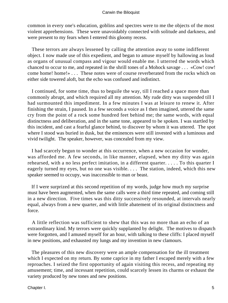common in every one's education, goblins and spectres were to me the objects of the most violent apprehensions. These were unavoidably connected with solitude and darkness, and were present to my fears when I entered this gloomy recess.

 These terrors are always lessened by calling the attention away to some indifferent object. I now made use of this expedient, and began to amuse myself by hallowing as loud as organs of unusual compass and vigour would enable me. I utterred the words which chanced to occur to me, and repeated in the shrill tones of a Mohock savage . . . «Cow! cow! come home! home!» . . . These notes were of course reverberated from the rocks which on either side towered aloft, but the echo was confused and indistinct.

 I continued, for some time, thus to beguile the way, till I reached a space more than commonly abrupt, and which required all my attention. My rude ditty was suspended till I had surmounted this impediment. In a few minutes I was at leisure to renew it. After finishing the strain, I paused. In a few seconds a voice as I then imagined, uttered the same cry from the point of a rock some hundred feet behind me; the same words, with equal distinctness and deliberation, and in the same tone, appeared to be spoken. I was startled by this incident, and cast a fearful glance behind, to discover by whom it was uttered. The spot where I stood was buried in dusk, but the eminences were still invested with a luminous and vivid twilight. The speaker, however, was concealed from my view.

 I had scarcely begun to wonder at this occurrence, when a new occasion for wonder, was afforded me. A few seconds, in like manner, elapsed, when my ditty was again rehearsed, with a no less perfect imitation, in a different quarter. . . . . To this quarter I eagerly turned my eyes, but no one was visible. . . . The station, indeed, which this new speaker seemed to occupy, was inaccessible to man or beast.

 If I were surprized at this second repetition of my words, judge how much my surprise must have been augmented, when the same calls were a third time repeated, and coming still in a new direction. Five times was this ditty successively resounded, at intervals nearly equal, always from a new quarter, and with little abatement of its original distinctness and force.

 A little reflection was sufficient to shew that this was no more than an echo of an extraordinary kind. My terrors were quickly supplanted by delight. The motives to dispatch were forgotten, and I amused myself for an hour, with talking to these cliffs: I placed myself in new positions, and exhausted my lungs and my invention in new clamours.

 The pleasures of this new discovery were an ample compensation for the ill treatment which I expected on my return. By some caprice in my father I escaped merely with a few reproaches. I seized the first opportunity of again visiting this recess, and repeating my amusement; time, and incessant repetition, could scarcely lessen its charms or exhaust the variety produced by new tones and new positions.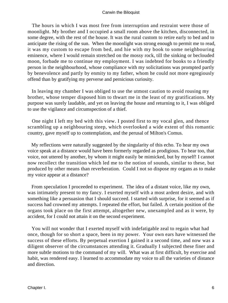The hours in which I was most free from interruption and restraint were those of moonlight. My brother and I occupied a small room above the kitchen, disconnected, in some degree, with the rest of the house. It was the rural custom to retire early to bed and to anticipate the rising of the sun. When the moonlight was strong enough to permit me to read, it was my custom to escape from bed, and hie with my book to some neighbouring eminence, where I would remain stretched on the mossy rock, till the sinking or beclouded moon, forbade me to continue my employment. I was indebted for books to a friendly person in the neighbourhood, whose compliance with my solicitations was prompted partly by benevolence and partly by enmity to my father, whom he could not more egregiously offend than by gratifying my perverse and pernicious curiosity.

 In leaving my chamber I was obliged to use the utmost caution to avoid rousing my brother, whose temper disposed him to thwart me in the least of my gratifications. My purpose was surely laudable, and yet on leaving the house and returning to it, I was obliged to use the vigilance and circumspection of a thief.

 One night I left my bed with this view. I posted first to my vocal glen, and thence scrambling up a neighbouring steep, which overlooked a wide extent of this romantic country, gave myself up to contemplation, and the perusal of Milton's Comus.

 My reflections were naturally suggested by the singularity of this echo. To hear my own voice speak at a distance would have been formerly regarded as prodigious. To hear too, that voice, not uttered by another, by whom it might easily be mimicked, but by myself! I cannot now recollect the transition which led me to the notion of sounds, similar to these, but produced by other means than reverberation. Could I not so dispose my organs as to make my voice appear at a distance?

 From speculation I proceeded to experiment. The idea of a distant voice, like my own, was intimately present to my fancy. I exerted myself with a most ardent desire, and with something like a persuasion that I should succeed. I started with surprise, for it seemed as if success had crowned my attempts. I repeated the effort, but failed. A certain position of the organs took place on the first attempt, altogether new, unexampled and as it were, by accident, for I could not attain it on the second experiment.

 You will not wonder that I exerted myself with indefatigable zeal to regain what had once, though for so short a space, been in my power. Your own ears have witnessed the success of these efforts. By perpetual exertion I gained it a second time, and now was a diligent observer of the circumstances attending it. Gradually I subjected these finer and more subtle motions to the command of my will. What was at first difficult, by exercise and habit, was rendered easy. I learned to accommodate my voice to all the varieties of distance and direction.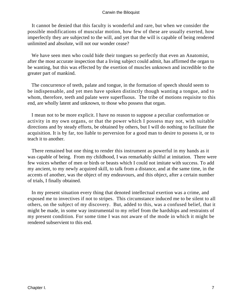It cannot be denied that this faculty is wonderful and rare, but when we consider the possible modifications of muscular motion, how few of these are usually exerted, how imperfectly they are subjected to the will, and yet that the will is capable of being rendered unlimited and absolute, will not our wonder cease?

We have seen men who could hide their tongues so perfectly that even an Anatomist, after the most accurate inspection that a living subject could admit, has affirmed the organ to be wanting, but this was effected by the exertion of muscles unknown and incredible to the greater part of mankind.

 The concurrence of teeth, palate and tongue, in the formation of speech should seem to be indispensable, and yet men have spoken distinctly though wanting a tongue, and to whom, therefore, teeth and palate were superfluous. The tribe of motions requisite to this end, are wholly latent and unknown, to those who possess that organ.

 I mean not to be more explicit. I have no reason to suppose a peculiar conformation or activity in my own organs, or that the power which I possess may not, with suitable directions and by steady efforts, be obtained by others, but I will do nothing to facilitate the acquisition. It is by far, too liable to perversion for a good man to desire to possess it, or to teach it to another.

 There remained but one thing to render this instrument as powerful in my hands as it was capable of being. From my childhood, I was remarkably skilful at imitation. There were few voices whether of men or birds or beasts which I could not imitate with success. To add my ancient, to my newly acquired skill, to talk from a distance, and at the same time, in the accents of another, was the object of my endeavours, and this object, after a certain number of trials, I finally obtained.

 In my present situation every thing that denoted intellectual exertion was a crime, and exposed me to invectives if not to stripes. This circumstance induced me to be silent to all others, on the subject of my discovery. But, added to this, was a confused belief, that it might be made, in some way instrumental to my relief from the hardships and restraints of my present condition. For some time I was not aware of the mode in which it might be rendered subservient to this end.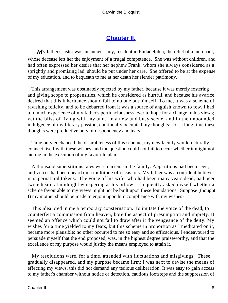## **[Chapter II.](#page-51-0)**

<span id="page-8-0"></span>*My* father's sister was an ancient lady, resident in Philadelphia, the relict of a merchant, whose decease left her the enjoyment of a frugal competence. She was without children, and had often expressed her desire that her nephew Frank, whom she always considered as a sprightly and promising lad, should be put under her care. She offered to be at the expense of my education, and to bequeath to me at her death her slender patrimony.

 This arrangement was obstinately rejected by my father, because it was merely fostering and giving scope to propensities, which he considered as hurtful, and because his avarice desired that this inheritance should fall to no one but himself. To me, it was a scheme of ravishing felicity, and to be debarred from it was a source of anguish known to few. I had too much experience of my father's pertinaciousness ever to hope for a change in his views; yet the bliss of living with my aunt, in a new and busy scene, and in the unbounded indulgence of my literary passion, continually occupied my thoughts: for a long time these thoughts were productive only of despondency and tears.

 Time only enchanced the desirableness of this scheme; my new faculty would naturally connect itself with these wishes, and the question could not fail to occur whether it might not aid me in the execution of my favourite plan.

 A thousand superstitious tales were current in the family. Apparitions had been seen, and voices had been heard on a multitude of occasions. My father was a confident believer in supernatural tokens. The voice of his wife, who had been many years dead, had been twice heard at midnight whispering at his pillow. I frequently asked myself whether a scheme favourable to my views might not be built upon these foundations. Suppose (thought I) my mother should be made to enjoin upon him compliance with my wishes?

 This idea bred in me a temporary consternation. To imitate the voice of the dead, to counterfeit a commission from heaven, bore the aspect of presumption and impiety. It seemed an offence which could not fail to draw after it the vengeance of the deity. My wishes for a time yielded to my fears, but this scheme in proportion as I meditated on it, became more plausible; no other occurred to me so easy and so efficacious. I endeavoured to persuade myself that the end proposed, was, in the highest degree praiseworthy, and that the excellence of my purpose would justify the means employed to attain it.

 My resolutions were, for a time, attended with fluctuations and misgivings. These gradually disappeared, and my purpose became firm; I was next to devise the means of effecting my views, this did not demand any tedious deliberation. It was easy to gain access to my father's chamber without notice or detection, cautious footsteps and the suppression of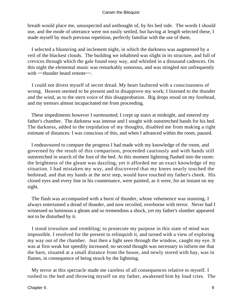breath would place me, unsuspected and unthought of, by his bed side. The words I should use, and the mode of utterance were not easily settled, but having at length selected these, I made myself by much previous repetition, perfectly familiar with the use of them.

 I selected a blustering and inclement night, in which the darkness was augmented by a veil of the blackest clouds. The building we inhabited was slight in its structure, and full of crevices through which the gale found easy way, and whistled in a thousand cadences. On this night the elemental music was remarkably sonorous, and was mingled not unfrequently with ~~thunder heard remote~~.

 I could not divest myself of secret dread. My heart faultered with a consciousness of wrong. Heaven seemed to be present and to disapprove my work; I listened to the thunder and the wind, as to the stern voice of this disapprobation. Big drops stood on my forehead, and my tremors almost incapacitated me from proceeding.

 These impediments however I surmounted; I crept up stairs at midnight, and entered my father's chamber. The darkness was intense and I sought with outstretched hands for his bed. The darkness, added to the trepidation of my thoughts, disabled me from making a right estimate of distances: I was conscious of this, and when I advanced within the room, paused.

 I endeavoured to compare the progress I had made with my knowledge of the room, and governed by the result of this comparison, proceeded cautiously and with hands still outstretched in search of the foot of the bed. At this moment lightning flashed into the room: the brightness of the gleam was dazzling, yet it afforded me an exact knowledge of my situation. I had mistaken my way, and discovered that my knees nearly touched the bedstead, and that my hands at the next step, would have touched my father's cheek. His closed eyes and every line in his countenance, were painted, as it were, for an instant on my sight.

 The flash was accompanied with a burst of thunder, whose vehemence was stunning. I always entertained a dread of thunder, and now recoiled, overborne with terror. Never had I witnessed so luminous a gleam and so tremendous a shock, yet my father's slumber appeared not to be disturbed by it.

 I stood irresolute and trembling; to prosecute my purpose in this state of mind was impossible. I resolved for the present to relinquish it, and turned with a view of exploring my way out of the chamber. Just then a light seen through the window, caught my eye. It was at first weak but speedily increased; no second thought was necessary to inform me that the barn, situated at a small distance from the house, and newly stored with hay, was in flames, in consequence of being struck by the lightning.

 My terror at this spectacle made me careless of all consequences relative to myself. I rushed to the bed and throwing myself on my father, awakened him by loud cries. The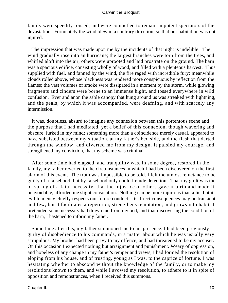family were speedily roused, and were compelled to remain impotent spectators of the devastation. Fortunately the wind blew in a contrary direction, so that our habitation was not injured.

 The impression that was made upon me by the incidents of that night is indelible. The wind gradually rose into an hurricane; the largest branches were torn from the trees, and whirled aloft into the air; others were uprooted and laid prostrate on the ground. The barn was a spacious edifice, consisting wholly of wood, and filled with a plenteous harvest. Thus supplied with fuel, and fanned by the wind, the fire raged with incredible fury; meanwhile clouds rolled above, whose blackness was rendered more conspicuous by reflection from the flames; the vast volumes of smoke were dissipated in a moment by the storm, while glowing fragments and cinders were borne to an immense hight, and tossed everywhere in wild confusion. Ever and anon the sable canopy that hung around us was streaked with lightning, and the peals, by which it was accompanied, were deafning, and with scarcely any intermission.

 It was, doubtless, absurd to imagine any connexion between this portentous scene and the purpose that I had meditated, yet a belief of this connexion, though wavering and obscure, lurked in my mind; something more than a coincidence merely casual, appeared to have subsisted between my situation, at my father's bed side, and the flash that darted through the window, and diverted me from my design. It palsied my courage, and strengthened my conviction, that my scheme was criminal.

 After some time had elapsed, and tranquility was, in some degree, restored in the family, my father reverted to the circumstances in which I had been discovered on the first alarm of this event. The truth was impossible to be told. I felt the utmost reluctance to be guilty of a falsehood, but by falsehood only could I elude detection. That my guilt was the offspring of a fatal necessity, that the injustice of others gave it birth and made it unavoidable, afforded me slight consolation. Nothing can be more injurious than a lie, but its evil tendency chiefly respects our future conduct. Its direct consequences may be transient and few, but it facilitates a repetition, strengthens temptation, and grows into habit. I pretended some necessity had drawn me from my bed, and that discovering the condition of the barn, I hastened to inform my father.

 Some time after this, my father summoned me to his presence. I had been previously guilty of disobedience to his commands, in a matter about which he was usually very scrupulous. My brother had been privy to my offence, and had threatened to be my accuser. On this occasion I expected nothing but arraignment and punishment. Weary of oppression, and hopeless of any change in my father's temper and views, I had formed the resolution of eloping from his house, and of trusting, young as I was, to the caprice of fortune. I was hesitating whether to abscond without the knowledge of the family, or to make my resolutions known to them, and while I avowed my resolution, to adhere to it in spite of opposition and remonstrances, when I received this summons.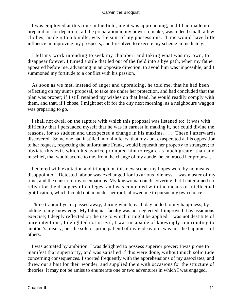I was employed at this time in the field; night was approaching, and I had made no preparation for departure; all the preparation in my power to make, was indeed small; a few clothes, made into a bundle, was the sum of my possessions. Time would have little influence in improving my prospects, and I resolved to execute my scheme immediately.

 I left my work intending to seek my chamber, and taking what was my own, to disappear forever. I turned a stile that led out of the field into a bye path, when my father appeared before me, advancing in an opposite direction; to avoid him was impossible, and I summoned my fortitude to a conflict with his passion.

 As soon as we met, instead of anger and upbraiding, he told me, that he had been reflecting on my aunt's proposal, to take me under her protection, and had concluded that the plan was proper; if I still retained my wishes on that head, he would readily comply with them, and that, if I chose, I might set off for the city next morning, as a neighbours waggon was preparing to go.

 I shall not dwell on the rapture with which this proposal was listened to: it was with difficulty that I persuaded myself that he was in earnest in making it, nor could divine the reasons, for so sudden and unexpected a change in his maxims. . . . These I afterwards discovered. Some one had instilled into him fears, that my aunt exasperated at his opposition to her request, respecting the unfortunate Frank, would bequeath her property to strangers; to obviate this evil, which his avarice prompted him to regard as much greater than any mischief, that would accrue to me, from the change of my abode, he embraced her proposal.

 I entered with exultation and triumph on this new scene; my hopes were by no means disappointed. Detested labour was exchanged for luxurious idleness. I was master of my time, and the chuser of my occupations. My kinswoman on discovering that I entertained no relish for the drudgery of colleges, and was contented with the means of intellectual gratification, which I could obtain under her roof, allowed me to pursue my own choice.

 Three tranquil years passed away, during which, each day added to my happiness, by adding to my knowledge. My biloquial faculty was not neglected. I improved it by assiduous exercise; I deeply reflected on the use to which it might be applied. I was not destitute of pure intentions; I delighted not in evil; I was incapable of knowingly contributing to another's misery, but the sole or principal end of my endeavours was not the happiness of others.

 I was actuated by ambition. I was delighted to possess superior power; I was prone to manifest that superiority, and was satisfied if this were done, without much solicitude concerning consequences. I sported frequently with the apprehensions of my associates, and threw out a bait for their wonder, and supplied them with occasions for the structure of theories. It may not be amiss to enumerate one or two adventures in which I was engaged.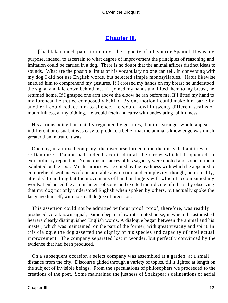## **[Chapter III.](#page-51-0)**

<span id="page-12-0"></span>*I* had taken much pains to improve the sagacity of a favourite Spaniel. It was my purpose, indeed, to ascertain to what degree of improvement the principles of reasoning and imitation could be carried in a dog. There is no doubt that the animal affixes distinct ideas to sounds. What are the possible limits of his vocabulary no one can tell. In conversing with my dog I did not use English words, but selected simple monosyllables. Habit likewise enabled him to comprehend my gestures. If I crossed my hands on my breast he understood the signal and laid down behind me. If I joined my hands and lifted them to my breast, he returned home. If I grasped one arm above the elbow he ran before me. If I lifted my hand to my forehead he trotted composedly behind. By one motion I could make him bark; by another I could reduce him to silence. He would howl in twenty different strains of mournfulness, at my bidding. He would fetch and carry with undeviating faithfulness.

 His actions being thus chiefly regulated by gestures, that to a stranger would appear indifferent or casual, it was easy to produce a belief that the animal's knowledge was much greater than in truth, it was.

 One day, in a mixed company, the discourse turned upon the unrivaled abilities of ~~Damon~~. Damon had, indeed, acquired in all the circles which I frequented, an extraordinary reputation. Numerous instances of his sagacity were quoted and some of them exhibited on the spot. Much surprise was excited by the readiness with which he appeared to comprehend sentences of considerable abstraction and complexity, though, he in reality, attended to nothing but the movements of hand or fingers with which I accompanied my words. I enhanced the astonishment of some and excited the ridicule of others, by observing that my dog not only understood English when spoken by others, but actually spoke the language himself, with no small degree of precision.

 This assertion could not be admitted without proof; proof, therefore, was readily produced. At a known signal, Damon began a low interrupted noise, in which the astonished hearers clearly distinguished English words. A dialogue began between the animal and his master, which was maintained, on the part of the former, with great vivacity and spirit. In this dialogue the dog asserted the dignity of his species and capacity of intellectual improvement. The company separated lost in wonder, but perfectly convinced by the evidence that had been produced.

 On a subsequent occasion a select company was assembled at a garden, at a small distance from the city. Discourse glided through a variety of topics, till it lighted at length on the subject of invisible beings. From the speculations of philosophers we proceeded to the creations of the poet. Some maintained the justness of Shakspear's delineations of aerial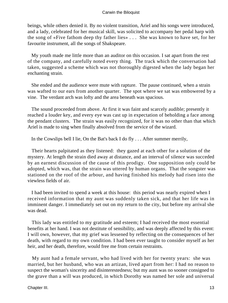beings, while others denied it. By no violent transition, Ariel and his songs were introduced, and a lady, celebrated for her musical skill, was solicited to accompany her pedal harp with the song of «Five fathom deep thy father lies» . . . She was known to have set, for her favourite instrument, all the songs of Shakspeare.

 My youth made me little more than an auditor on this occasion. I sat apart from the rest of the company, and carefully noted every thing. The track which the conversation had taken, suggested a scheme which was not thoroughly digested when the lady began her enchanting strain.

 She ended and the audience were mute with rapture. The pause continued, when a strain was wafted to our ears from another quarter. The spot where we sat was embowered by a vine. The verdant arch was lofty and the area beneath was spacious.

 The sound proceeded from above. At first it was faint and scarcely audible; presently it reached a louder key, and every eye was cast up in expectation of beholding a face among the pendant clusters. The strain was easily recognized, for it was no other than that which Ariel is made to sing when finally absolved from the service of the wizard.

In the Cowslips bell I lie, On the Bat's back I do fly . . . After summer merrily,

 Their hearts palpitated as they listened: they gazed at each other for a solution of the mystery. At length the strain died away at distance, and an interval of silence was succeded by an earnest discussion of the cause of this prodigy. One supposition only could be adopted, which was, that the strain was uttered by human organs. That the songster was stationed on the roof of the arbour, and having finished his melody had risen into the viewless fields of air.

 I had been invited to spend a week at this house: this period was nearly expired when I received information that my aunt was suddenly taken sick, and that her life was in imminent danger. I immediately set out on my return to the city, but before my arrival she was dead.

 This lady was entitled to my gratitude and esteem; I had received the most essential benefits at her hand. I was not destitute of sensibility, and was deeply affected by this event: I will own, however, that my grief was lessened by reflecting on the consequences of her death, with regard to my own condition. I had been ever taught to consider myself as her heir, and her death, therefore, would free me from certain restraints.

 My aunt had a female servant, who had lived with her for twenty years: she was married, but her husband, who was an artizan, lived apart from her: I had no reason to suspect the woman's sincerity and disinterestedness; but my aunt was no sooner consigned to the grave than a will was produced, in which Dorothy was named her sole and universal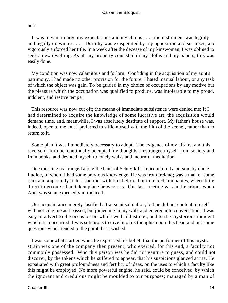heir.

 It was in vain to urge my expectations and my claims . . . . the instrument was legibly and legally drawn up . . . . Dorothy was exasperated by my opposition and surmises, and vigorously enforced her title. In a week after the decease of my kinswoman, I was obliged to seek a new dwelling. As all my property consisted in my cloths and my papers, this was easily done.

 My condition was now calamitous and forlorn. Confiding in the acquisition of my aunt's patrimony, I had made no other provision for the future; I hated manual labour, or any task of which the object was gain. To be guided in my choice of occupations by any motive but the pleasure which the occupation was qualified to produce, was intolerable to my proud, indolent, and restive temper.

 This resource was now cut off; the means of immediate subsistence were denied me: If I had determined to acquire the knowledge of some lucrative art, the acquisition would demand time, and, meanwhile, I was absolutely destitute of support. My father's house was, indeed, open to me, but I preferred to stifle myself with the filth of the kennel, rather than to return to it.

 Some plan it was immediately necessary to adopt. The exigence of my affairs, and this reverse of fortune, continually occupied my thoughts; I estranged myself from society and from books, and devoted myself to lonely walks and mournful meditation.

 One morning as I ranged along the bank of Schuylkill, I encountered a person, by name Ludloe, of whom I had some previous knowledge. He was from Ireland; was a man of some rank and apparently rich: I had met with him before, but in mixed companies, where little direct intercourse had taken place between us. Our last meeting was in the arbour where Ariel was so unexpectedly introduced.

 Our acquaintance merely justified a transient salutation; but he did not content himself with noticing me as I passed, but joined me in my walk and entered into conversation. It was easy to advert to the occasion on which we had last met, and to the mysterious incident which then occurred. I was solicitous to dive into his thoughts upon this head and put some questions which tended to the point that I wished.

 I was somewhat startled when he expressed his belief, that the performer of this mystic strain was one of the company then present, who exerted, for this end, a faculty not commonly possessed. Who this person was he did not venture to guess, and could not discover, by the tokens which he suffered to appear, that his suspicions glanced at me. He expatiated with great profoundness and fertility of ideas, on the uses to which a faculty like this might be employed. No more powerful engine, he said, could be conceived, by which the ignorant and credulous might be moulded to our purposes; managed by a man of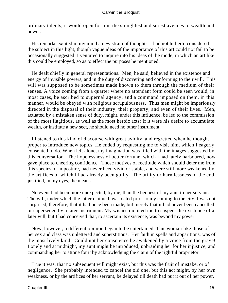ordinary talents, it would open for him the straightest and surest avenues to wealth and power.

 His remarks excited in my mind a new strain of thoughts. I had not hitherto considered the subject in this light, though vague ideas of the importance of this art could not fail to be occasionally suggested: I ventured to inquire into his ideas of the mode, in which an art like this could be employed, so as to effect the purposes he mentioned.

 He dealt chiefly in general representations. Men, he said, believed in the existence and energy of invisible powers, and in the duty of discovering and conforming to their will. This will was supposed to be sometimes made known to them through the medium of their senses. A voice coming from a quarter where no attendant form could be seen would, in most cases, be ascribed to supernal agency, and a command imposed on them, in this manner, would be obeyed with religious scrupulousness. Thus men might be imperiously directed in the disposal of their industry, their property, and even of their lives. Men, actuated by a mistaken sense of duty, might, under this influence, be led to the commission of the most flagitious, as well as the most heroic acts: If it were his desire to accumulate wealth, or institute a new sect, he should need no other instrument.

 I listened to this kind of discourse with great avidity, and regretted when he thought proper to introduce new topics. He ended by requesting me to visit him, which I eagerly consented to do. When left alone, my imagination was filled with the images suggested by this conversation. The hopelessness of better fortune, which I had lately harboured, now gave place to cheering confidence. Those motives of rectitude which should deter me from this species of imposture, had never been vivid or stable, and were still more weakened by the artifices of which I had already been guilty. The utility or harmlessness of the end, justified, in my eyes, the means.

 No event had been more unexpected, by me, than the bequest of my aunt to her servant. The will, under which the latter claimed, was dated prior to my coming to the city. I was not surprised, therefore, that it had once been made, but merely that it had never been cancelled or superseded by a later instrument. My wishes inclined me to suspect the existence of a later will, but I had conceived that, to ascertain its existence, was beyond my power.

 Now, however, a different opinion began to be entertained. This woman like those of her sex and class was unlettered and superstitious. Her faith in spells and apparitions, was of the most lively kind. Could not her conscience be awakened by a voice from the grave! Lonely and at midnight, my aunt might be introduced, upbraiding her for her injustice, and commanding her to attone for it by acknowledging the claim of the rightful proprietor.

 True it was, that no subsequent will might exist, but this was the fruit of mistake, or of negligence. She probably intended to cancel the old one, but this act might, by her own weakness, or by the artifices of her servant, be delayed till death had put it out of her power.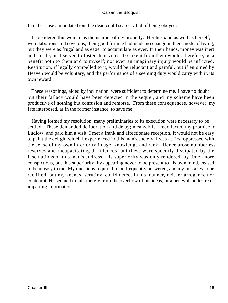In either case a mandate from the dead could scarcely fail of being obeyed.

 I considered this woman as the usurper of my property. Her husband as well as herself, were laborious and covetous; their good fortune had made no change in their mode of living, but they were as frugal and as eager to accumulate as ever. In their hands, money was inert and sterile, or it served to foster their vices. To take it from them would, therefore, be a benefit both to them and to myself; not even an imaginary injury would be inflicted. Restitution, if legally compelled to it, would be reluctant and painful, but if enjoined by Heaven would be voluntary, and the performance of a seeming duty would carry with it, its own reward.

 These reasonings, aided by inclination, were sufficient to determine me. I have no doubt but their fallacy would have been detected in the sequel, and my scheme have been productive of nothing but confusion and remorse. From these consequences, however, my fate interposed, as in the former instance, to save me.

 Having formed my resolution, many preliminaries to its execution were necessary to be settled. These demanded deliberation and delay; meanwhile I recollected my promise to Ludlow, and paid him a visit. I met a frank and affectionate reception. It would not be easy to paint the delight which I experienced in this man's society. I was at first oppressed with the sense of my own inferiority in age, knowledge and rank. Hence arose numberless reserves and incapacitating diffidences; but these were speedily dissipated by the fascinations of this man's address. His superiority was only rendered, by time, more conspicuous, but this superiority, by appearing never to be present to his own mind, ceased to be uneasy to me. My questions required to be frequently answered, and my mistakes to be rectified; but my keenest scrutiny, could detect in his manner, neither arrogance nor contempt. He seemed to talk merely from the overflow of his ideas, or a benevolent desire of imparting information.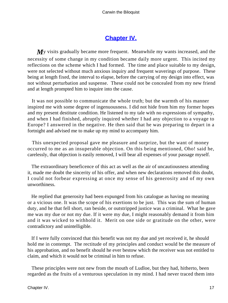## **[Chapter IV.](#page-51-0)**

<span id="page-17-0"></span>*M*y visits gradually became more frequent. Meanwhile my wants increased, and the necessity of some change in my condition became daily more urgent. This incited my reflections on the scheme which I had formed. The time and place suitable to my design, were not selected without much anxious inquiry and frequent waverings of purpose. These being at length fixed, the interval to elapse, before the carrying of my design into effect, was not without perturbation and suspense. These could not be concealed from my new friend and at length prompted him to inquire into the cause.

 It was not possible to communicate the whole truth; but the warmth of his manner inspired me with some degree of ingenuousness. I did not hide from him my former hopes and my present destitute condition. He listened to my tale with no expressions of sympathy, and when I had finished, abruptly inquired whether I had any objection to a voyage to Europe? I answered in the negative. He then said that he was preparing to depart in a fortnight and advised me to make up my mind to accompany him.

 This unexpected proposal gave me pleasure and surprize, but the want of money occurred to me as an insuperable objection. On this being mentioned, Oho! said he, carelessly, that objection is easily removed, I will bear all expenses of your passage myself.

 The extraordinary beneficence of this act as well as the air of uncautiousness attending it, made me doubt the sincerity of his offer, and when new declarations removed this doubt, I could not forbear expressing at once my sense of his generosity and of my own unworthiness.

 He replied that generosity had been expunged from his catalogue as having no meaning or a vicious one. It was the scope of his exertions to be just. This was the sum of human duty, and he that fell short, ran beside, or outstripped justice was a criminal. What he gave me was my due or not my due. If it were my due, I might reasonably demand it from him and it was wicked to withhold it. Merit on one side or gratitude on the other, were contradictory and unintelligible.

 If I were fully convinced that this benefit was not my due and yet received it, he should hold me in contempt. The rectitude of my principles and conduct would be the measure of his approbation, and no benefit should he ever bestow which the receiver was not entitled to claim, and which it would not be criminal in him to refuse.

 These principles were not new from the mouth of Ludloe, but they had, hitherto, been regarded as the fruits of a venturous speculation in my mind. I had never traced them into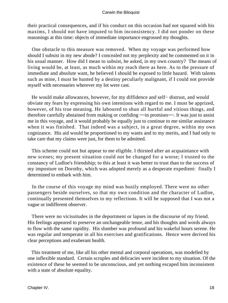their practical consequences, and if his conduct on this occasion had not squared with his maxims, I should not have imputed to him inconsistency. I did not ponder on these reasonings at this time: objects of immediate importance engrossed my thoughts.

 One obstacle to this measure was removed. When my voyage was performed how should I subsist in my new abode? I concealed not my perplexity and he commented on it in his usual manner. How did I mean to subsist, he asked, in my own country? The means of living would be, at least, as much within my reach there as here. As to the pressure of immediate and absolute want, he believed I should be exposed to little hazard. With talents such as mine, I must be hunted by a destiny peculiarly malignant, if I could not provide myself with necessaries wherever my lot were cast.

 He would make allowances, however, for my diffidence and self− distrust, and would obviate my fears by expressing his own intentions with regard to me. I must be apprized, however, of his true meaning. He laboured to shun all hurtful and vitious things, and therefore carefully abstained from making or confiding ~~in promises~~. It was just to assist me in this voyage, and it would probably be equally just to continue to me similar assistance when it was finished. That indeed was a subject, in a great degree, within my own cognizance. His aid would be proportioned to my wants and to my merits, and I had only to take care that my claims were just, for them to be admitted.

 This scheme could not but appear to me eligible. I thirsted after an acquaintance with new scenes; my present situation could not be changed for a worse; I trusted to the constancy of Ludloe's friendship; to this at least it was better to trust than to the success of my imposture on Dorothy, which was adopted merely as a desperate expedient: finally I determined to embark with him.

 In the course of this voyage my mind was busily employed. There were no other passengers beside ourselves, so that my own condition and the character of Ludloe, continually presented themselves to my reflections. It will be supposed that I was not a vague or indifferent observer.

 There were no vicissitudes in the deportment or lapses in the discourse of my friend. His feelings appeared to preserve an unchangeable tenor, and his thoughts and words always to flow with the same rapidity. His slumber was profound and his wakeful hours serene. He was regular and temperate in all his exercises and gratifications. Hence were derived his clear perceptions and exuberant health.

 This treatment of me, like all his other mental and corporal operations, was modelled by one inflexible standard. Certain scruples and delicacies were incident to my situation. Of the existence of these he seemed to be unconscious, and yet nothing escaped him inconsistent with a state of absolute equality.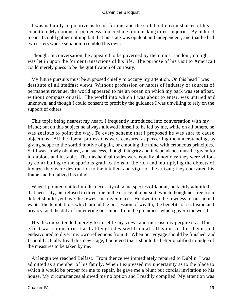I was naturally inquisitive as to his fortune and the collateral circumstances of his condition. My notions of politeness hindered me from making direct inquiries. By indirect means I could gather nothing but that his state was opulent and independent, and that he had two sisters whose situation resembled his own.

 Though, in conversation, he appeared to be governed by the utmost candour; no light was let in upon the former transactions of his life. The purpose of his visit to America I could merely guess to be the gratification of curiosity.

 My future pursuits must be supposed chiefly to occupy my attention. On this head I was destitute of all stedfast views. Without profession or habits of industry or sources of permanent revenue, the world appeared to me an ocean on which my bark was set afloat, without compass or sail. The world into which I was about to enter, was untried and unknown, and though I could consent to profit by the guidance I was unwilling to rely on the support of others.

 This topic being nearest my heart, I frequently introduced into conversation with my friend; but on this subject he always allowed himself to be led by me, while on all others, he was zealous to point the way. To every scheme that I proposed he was sure to cause objections. All the liberal professions were censured as perverting the understanding, by giving scope to the sordid motive of gain, or embuing the mind with erroneous principles. Skill was slowly obtained, and success, though integrity and independence must be given for it, dubious and instable. The mechanical trades were equally obnoxious; they were vitious by contributing to the spurious gratifications of the rich and multiplying the objects of luxury; they were destruction to the intellect and vigor of the artizan; they enervated his frame and brutalized his mind.

 When I pointed out to him the necessity of some species of labour, he tacitly admitted that necessity, but refused to direct me in the choice of a pursuit, which though not free from defect should yet have the fewest inconveniences. He dwelt on the fewness of our actual wants, the temptations which attend the possession of wealth, the benefits of seclusion and privacy, and the duty of unfettering our minds from the prejudices which govern the world.

 His discourse tended merely to unsettle my views and increase my perplexity. This effect was so uniform that I at length desisted from all allusions to this theme and endeavoured to divert my own reflections from it. When our voyage should be finished, and I should actually tread this new stage, I believed that I should be better qualified to judge of the measures to be taken by me.

 At length we reached Belfast. From thence we immediately repaired to Dublin. I was admitted as a member of his family. When I expressed my uncertainty as to the place to which it would be proper for me to repair, he gave me a blunt but cordial invitation to his house. My circumstances allowed me no option and I readily complied. My attention was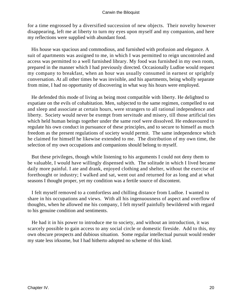for a time engrossed by a diversified succession of new objects. Their novelty however disappearing, left me at liberty to turn my eyes upon myself and my companion, and here my reflections were supplied with abundant food.

 His house was spacious and commodious, and furnished with profusion and elegance. A suit of apartments was assigned to me, in which I was permitted to reign uncontroled and access was permitted to a well furnished library. My food was furnished in my own room, prepared in the manner which I had previously directed. Occasionally Ludloe would request my company to breakfast, when an hour was usually consumed in earnest or sprightly conversation. At all other times he was invisible, and his apartments, being wholly separate from mine, I had no opportunity of discovering in what way his hours were employed.

 He defended this mode of living as being most compatible with liberty. He delighted to expatiate on the evils of cohabitation. Men, subjected to the same regimen, compelled to eat and sleep and associate at certain hours, were strangers to all rational independence and liberty. Society would never be exempt from servitude and misery, till those artificial ties which held human beings together under the same roof were dissolved. He endeavoured to regulate his own conduct in pursuance of these principles, and to secure to himself as much freedom as the present regulations of society would permit. The same independence which he claimed for himself he likewise extended to me. The distribution of my own time, the selection of my own occupations and companions should belong to myself.

 But these privileges, though while listening to his arguments I could not deny them to be valuable, I would have willingly dispensed with. The solitude in which I lived became daily more painful. I ate and drank, enjoyed clothing and shelter, without the exercise of forethought or industry; I walked and sat, went out and returned for as long and at what seasons I thought proper, yet my condition was a fertile source of discontent.

 I felt myself removed to a comfortless and chilling distance from Ludloe. I wanted to share in his occupations and views. With all his ingenuousness of aspect and overflow of thoughts, when he allowed me his company, I felt myself painfully bewildered with regard to his genuine condition and sentiments.

 He had it in his power to introduce me to society, and without an introduction, it was scarcely possible to gain access to any social circle or domestic fireside. Add to this, my own obscure prospects and dubious situation. Some regular intellectual pursuit would render my state less irksome, but I had hitherto adopted no scheme of this kind.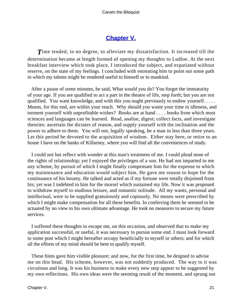## **[Chapter V.](#page-51-0)**

<span id="page-21-0"></span>**T**ime tended, in no degree, to alleviate my dissatisfaction. It increased till the determination became at length formed of opening my thoughts to Ludloe. At the next breakfast interview which took place, I introduced the subject, and expatiated without reserve, on the state of my feelings. I concluded with entreating him to point out some path in which my talents might be rendered useful to himself or to mankind.

 After a pause of some minutes, he said, What would you do? You forget the immaturity of your age. If you are qualified to act a part in the theatre of life, step forth; but you are not qualified. You want knowledge, and with this you ought previously to endow yourself. . . . . Means, for this end, are within your reach. Why should you waste your time in idleness, and torment yourself with unprofitable wishes? Books are at hand . . . . books from which most sciences and languages can be learned. Read, analise, digest; collect facts, and investigate theories: ascertain the dictates of reason, and supply yourself with the inclination and the power to adhere to them. You will not, legally speaking, be a man in less than three years. Let this period be devoted to the acquisition of wisdom. Either stay here, or retire to an house I have on the banks of Killarney, where you will find all the conveniences of study.

 I could not but reflect with wonder at this man's treatment of me. I could plead none of the rights of relationship; yet I enjoyed the privileges of a son. He had not imparted to me any scheme, by pursuit of which I might finally compensate him for the expense to which my maintenance and education would subject him. He gave me reason to hope for the continuance of his bounty. He talked and acted as if my fortune were totally disjoined from his; yet was I indebted to him for the morsel which sustained my life. Now it was proposed to withdraw myself to studious leisure, and romantic solitude. All my wants, personal and intellectual, were to be supplied gratuitously and copiously. No means were prescribed by which I might make compensation for all these benefits. In conferring them he seemed to be actuated by no view to his own ultimate advantage. He took no measures to secure my future services.

 I suffered these thoughts to escape me, on this occasion, and observed that to make my application successful, or useful, it was necessary to pursue some end. I must look forward to some post which I might hereafter occupy beneficially to myself or others; and for which all the efforts of my mind should be bent to qualify myself.

 These hints gave him visible pleasure; and now, for the first time, he deigned to advise me on this head. His scheme, however, was not suddenly produced. The way to it was circuitous and long. It was his business to make every new step appear to be suggested by my own reflections. His own ideas were the seeming result of the moment, and sprung out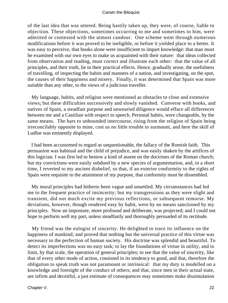of the last idea that was uttered. Being hastily taken up, they were, of course, liable to objection. These objections, sometimes occurring to me and sometimes to him, were admitted or contested with the utmost candour. One scheme went through numerous modifications before it was proved to be ineligible, or before it yielded place to a better. It was easy to perceive, that books alone were insufficient to impart knowledge: that man must be examined with our own eyes to make us acquainted with their nature: that ideas collected from observation and reading, must correct and illustrate each other: that the value of all principles, and their truth, lie in their practical effects. Hence, gradually arose, the usefulness of travelling, of inspecting the habits and manners of a nation, and investigating, on the spot, the causes of their happiness and misery. Finally, it was determined that Spain was more suitable than any other, to the views of a judicious traveller.

 My language, habits, and religion were mentioned as obstacles to close and extensive views; but these difficulties successively and slowly vanished. Converse with books, and natives of Spain, a steadfast purpose and unwearied diligence would efface all differences between me and a Castilian with respect to speech. Personal habits, were changeable, by the same means. The bars to unbounded intercourse, rising from the religion of Spain being irreconcilably opposite to mine, cost us no little trouble to surmount, and here the skill of Ludloe was eminently displayed.

 I had been accustomed to regard as unquestionable, the fallacy of the Romish faith. This persuasion was habitual and the child of prejudice, and was easily shaken by the artifices of this logician. I was first led to bestow a kind of assent on the doctrines of the Roman church; but my convictions were easily subdued by a new species of argumentation, and, in a short time, I reverted to my ancient disbelief, so that, if an exterior conformity to the rights of Spain were requisite to the attainment of my purpose, that conformity must be dissembled.

 My moral principles had hitherto been vague and unsettled. My circumstances had led me to the frequent practice of insincerity; but my transgressions as they were slight and transient, did not much excite my previous reflections, or subsequent remorse. My deviations, however, though rendered easy by habit, were by no means sanctioned by my principles. Now an imposture, more profound and deliberate, was projected; and I could not hope to perform well my part, unless steadfastly and thoroughly persuaded of its rectitude.

 My friend was the eulogist of sincerity. He delighted to trace its influence on the happiness of mankind; and proved that nothing but the universal practice of this virtue was necessary to the perfection of human society. His doctrine was splendid and beautiful. To detect its imperfections was no easy task; to lay the foundations of virtue in utility, and to limit, by that scale, the operation of general principles; to see that the value of sincerity, like that of every other mode of action, consisted in its tendency to good, and that, therefore the obligation to speak truth was not paramount or intrinsical: that my duty is modelled on a knowledge and foresight of the conduct of others; and that, since men in their actual state, are infirm and deceitful, a just estimate of consequences may sometimes make dissimulation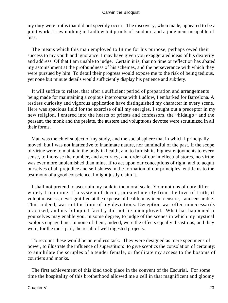my duty were truths that did not speedily occur. The discovery, when made, appeared to be a joint work. I saw nothing in Ludlow but proofs of candour, and a judgment incapable of bias.

 The means which this man employed to fit me for his purpose, perhaps owed their success to my youth and ignorance. I may have given you exaggerated ideas of his dexterity and address. Of that I am unable to judge. Certain it is, that no time or reflection has abated my astonishment at the profoundness of his schemes, and the perseverance with which they were pursued by him. To detail their progress would expose me to the risk of being tedious, yet none but minute details would sufficiently display his patience and subtlety.

 It will suffice to relate, that after a sufficient period of preparation and arrangements being made for maintaining a copious intercourse with Ludlow, I embarked for Barcelona. A restless curiosity and vigorous application have distinguished my character in every scene. Here was spacious field for the exercise of all my energies. I sought out a preceptor in my new religion. I entered into the hearts of priests and confessors, the ~hidalgo~ and the peasant, the monk and the prelate, the austere and voluptuous devotee were scrutinized in all their forms.

 Man was the chief subject of my study, and the social sphere that in which I principally moved; but I was not inattentive to inanimate nature, nor unmindful of the past. If the scope of virtue were to maintain the body in health, and to furnish its highest enjoyments to every sense, to increase the number, and accuracy, and order of our intellectual stores, no virtue was ever more unblemished than mine. If to act upon our conceptions of right, and to acquit ourselves of all prejudice and selfishness in the formation of our principles, entitle us to the testimony of a good conscience, I might justly claim it.

 I shall not pretend to ascertain my rank in the moral scale. Your notions of duty differ widely from mine. If a system of deceit, pursued merely from the love of truth; if voluptuousness, never gratified at the expense of health, may incur censure, I am censurable. This, indeed, was not the limit of my deviations. Deception was often unnecessarily practised, and my biloquial faculty did not lie unemployed. What has happened to yourselves may enable you, in some degree, to judge of the scenes in which my mystical exploits engaged me. In none of them, indeed, were the effects equally disastrous, and they were, for the most part, the result of well digested projects.

 To recount these would be an endless task. They were designed as mere specimens of power, to illustrate the influence of superstition: to give sceptics the consolation of certainty: to annihilate the scruples of a tender female, or facilitate my access to the bosoms of courtiers and monks.

 The first achievement of this kind took place in the convent of the Escurial. For some time the hospitality of this brotherhood allowed me a cell in that magnificent and gloomy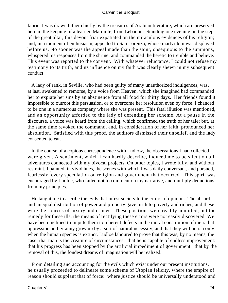fabric. I was drawn hither chiefly by the treasures of Arabian literature, which are preserved here in the keeping of a learned Maronite, from Lebanon. Standing one evening on the steps of the great altar, this devout friar expatiated on the miraculous evidences of his religion; and, in a moment of enthusiasm, appealed to San Lorenzo, whose martyrdom was displayed before us. No sooner was the appeal made than the saint, obsequious to the summons, whispered his responses from the shrine, and commanded the heretic to tremble and believe. This event was reported to the convent. With whatever reluctance, I could not refuse my testimony to its truth, and its influence on my faith was clearly shewn in my subsequent conduct.

 A lady of rank, in Seville, who had been guilty of many unauthorized indulgences, was, at last, awakened to remorse, by a voice from Heaven, which she imagined had commanded her to expiate her sins by an abstinence from all food for thirty days. Her friends found it impossible to outroot this persuasion, or to overcome her resolution even by force. I chanced to be one in a numerous company where she was present. This fatal illusion was mentioned, and an opportunity afforded to the lady of defending her scheme. At a pause in the discourse, a voice was heard from the ceiling, which confirmed the truth of her tale; but, at the same time revoked the command, and, in consideration of her faith, pronounced her absolution. Satisfied with this proof, the auditors dismissed their unbelief, and the lady consented to eat.

 In the course of a copious correspondence with Ludlow, the observations I had collected were given. A sentiment, which I can hardly describe, induced me to be silent on all adventures connected with my bivocal projects. On other topics, I wrote fully, and without restraint. I painted, in vivid hues, the scenes with which I was daily conversant, and pursued, fearlessly, every speculation on religion and government that occurred. This spirit was encouraged by Ludloe, who failed not to comment on my narrative, and multiply deductions from my principles.

 He taught me to ascribe the evils that infest society to the errors of opinion. The absurd and unequal distribution of power and property gave birth to poverty and riches, and these were the sources of luxury and crimes. These positions were readily admitted; but the remedy for these ills, the means of rectifying these errors were not easily discovered. We have been inclined to impute them to inherent defects in the moral constitution of men: that oppression and tyranny grow up by a sort of natural necessity, and that they will perish only when the human species is extinct. Ludloe laboured to prove that this was, by no means, the case: that man is the creature of circumstances: that he is capable of endless improvement: that his progress has been stopped by the artificial impediment of government: that by the removal of this, the fondest dreams of imagination will be realized.

 From detailing and accounting for the evils which exist under our present institutions, he usually proceeded to delineate some scheme of Utopian felicity, where the empire of reason should supplant that of force: where justice should be universally understood and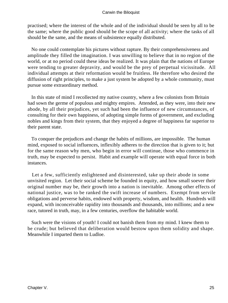practised; where the interest of the whole and of the individual should be seen by all to be the same; where the public good should be the scope of all activity; where the tasks of all should be the same, and the means of subsistence equally distributed.

 No one could contemplate his pictures without rapture. By their comprehensiveness and amplitude they filled the imagination. I was unwilling to believe that in no region of the world, or at no period could these ideas be realized. It was plain that the nations of Europe were tending to greater depravity, and would be the prey of perpetual vicissitude. All individual attempts at their reformation would be fruitless. He therefore who desired the diffusion of right principles, to make a just system be adopted by a whole community, must pursue some extraordinary method.

 In this state of mind I recollected my native country, where a few colonists from Britain had sown the germe of populous and mighty empires. Attended, as they were, into their new abode, by all their prejudices, yet such had been the influence of new circumstances, of consulting for their own happiness, of adopting simple forms of government, and excluding nobles and kings from their system, that they enjoyed a degree of happiness far superior to their parent state.

 To conquer the prejudices and change the habits of millions, are impossible. The human mind, exposed to social influences, inflexibly adheres to the direction that is given to it; but for the same reason why men, who begin in error will continue, those who commence in truth, may be expected to persist. Habit and example will operate with equal force in both instances.

Let a few, sufficiently enlightened and disinterested, take up their abode in some unvisited region. Let their social scheme be founded in equity, and how small soever their original number may be, their growth into a nation is inevitable. Among other effects of national justice, was to be ranked the swift increase of numbers. Exempt from servile obligations and perverse habits, endowed with property, wisdom, and health. Hundreds will expand, with inconceivable rapidity into thousands and thousands, into millions; and a new race, tutored in truth, may, in a few centuries, overflow the habitable world.

 Such were the visions of youth! I could not banish them from my mind. I knew them to be crude; but believed that deliberation would bestow upon them solidity and shape. Meanwhile I imparted them to Ludloe.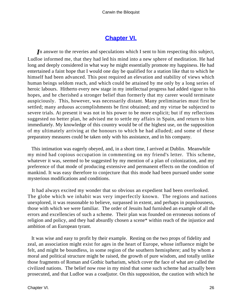## **[Chapter VI.](#page-51-0)**

<span id="page-26-0"></span>*I*n answer to the reveries and speculations which I sent to him respecting this subject, Ludloe informed me, that they had led his mind into a new sphere of meditation. He had long and deeply considered in what way he might essentially promote my happiness. He had entertained a faint hope that I would one day be qualified for a station like that to which he himself had been advanced. This post required an elevation and stability of views which human beings seldom reach, and which could be attained by me only by a long series of heroic labours. Hitherto every new stage in my intellectual progress had added vigour to his hopes, and he cherished a stronger belief than formerly that my career would terminate auspiciously. This, however, was necessarily distant. Many preliminaries must first be settled; many arduous accomplishments be first obtained; and my virtue be subjected to severe trials. At present it was not in his power to be more explicit; but if my reflections suggested no better plan, he advised me to settle my affairs in Spain, and return to him immediately. My knowledge of this country would be of the highest use, on the supposition of my ultimately arriving at the honours to which he had alluded; and some of these preparatory measures could be taken only with his assistance, and in his company.

 This intimation was eagerly obeyed, and, in a short time, I arrived at Dublin. Meanwhile my mind had copious occupation in commenting on my friend's letter. This scheme, whatever it was, seemed to be suggested by my mention of a plan of colonization, and my preference of that mode of producing extensive and permanent effects on the condition of mankind. It was easy therefore to conjecture that this mode had been pursued under some mysterious modifications and conditions.

 It had always excited my wonder that so obvious an expedient had been overlooked. The globe which we inhabit was very imperfectly known. The regions and nations unexplored, it was reasonable to believe, surpassed in extent, and perhaps in populousness, those with which we were familiar. The order of Jesuits had furnished an example of all the errors and excellencies of such a scheme. Their plan was founded on erroneous notions of religion and policy, and they had absurdly chosen a scene\* within reach of the injustice and ambition of an European tyrant.

 It was wise and easy to profit by their example. Resting on the two props of fidelity and zeal, an association might exist for ages in the heart of Europe, whose influence might be felt, and might be boundless, in some region of the southern hemisphere; and by whom a moral and political structure might be raised, the growth of pure wisdom, and totally unlike those fragments of Roman and Gothic barbarism, which cover the face of what are called the civilized nations. The belief now rose in my mind that some such scheme had actually been prosecuted, and that Ludloe was a coadjutor. On this supposition, the caution with which he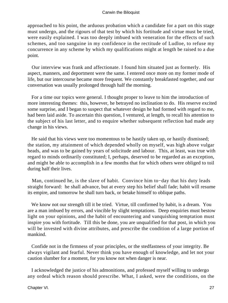approached to his point, the arduous probation which a candidate for a part on this stage must undergo, and the rigours of that test by which his fortitude and virtue must be tried, were easily explained. I was too deeply imbued with veneration for the effects of such schemes, and too sanguine in my confidence in the rectitude of Ludloe, to refuse my concurrence in any scheme by which my qualifications might at length be raised to a due point.

 Our interview was frank and affectionate. I found him situated just as formerly. His aspect, manners, and deportment were the same. I entered once more on my former mode of life, but our intercourse became more frequent. We constantly breakfasted together, and our conversation was usually prolonged through half the morning.

 For a time our topics were general. I thought proper to leave to him the introduction of more interesting themes: this, however, he betrayed no inclination to do. His reserve excited some surprise, and I began to suspect that whatever design he had formed with regard to me, had been laid aside. To ascertain this question, I ventured, at length, to recall his attention to the subject of his last letter, and to enquire whether subsequent reflection had made any change in his views.

 He said that his views were too momentous to be hastily taken up, or hastily dismissed; the station, my attainment of which depended wholly on myself, was high above vulgar heads, and was to be gained by years of solicitude and labour. This, at least, was true with regard to minds ordinarily constituted; I, perhaps, deserved to be regarded as an exception, and might be able to accomplish in a few months that for which others were obliged to toil during half their lives.

 Man, continued he, is the slave of habit. Convince him to−day that his duty leads straight forward: he shall advance, but at every step his belief shall fade; habit will resume its empire, and tomorrow he shall turn back, or betake himself to oblique paths.

 We know not our strength till it be tried. Virtue, till confirmed by habit, is a dream. You are a man imbued by errors, and vincible by slight temptations. Deep enquiries must bestow light on your opinions, and the habit of encountering and vanquishing temptation must inspire you with fortitude. Till this be done, you are unqualified for that post, in which you will be invested with divine attributes, and prescribe the condition of a large portion of mankind.

 Confide not in the firmness of your principles, or the stedfastness of your integrity. Be always vigilant and fearful. Never think you have enough of knowledge, and let not your caution slumber for a moment, for you know not when danger is near.

 I acknowledged the justice of his admonitions, and professed myself willing to undergo any ordeal which reason should prescribe. What, I asked, were the conditions, on the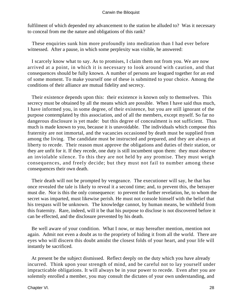fulfilment of which depended my advancement to the station he alluded to? Was it necessary to conceal from me the nature and obligations of this rank?

 These enquiries sunk him more profoundly into meditation than I had ever before witnessed. After a pause, in which some perplexity was visible, he answered:

 I scarcely know what to say. As to promises, I claim them not from you. We are now arrived at a point, in which it is necessary to look around with caution, and that consequences should be fully known. A number of persons are leagued together for an end of some moment. To make yourself one of these is submitted to your choice. Among the conditions of their alliance are mutual fidelity and secrecy.

 Their existence depends upon this: their existence is known only to themselves. This secrecy must be obtained by all the means which are possible. When I have said thus much, I have informed you, in some degree, of their existence, but you are still ignorant of the purpose contemplated by this association, and of all the members, except myself. So far no dangerous disclosure is yet made: but this degree of concealment is not sufficient. Thus much is made known to you, because it is unavoidable. The individuals which compose this fraternity are not immortal, and the vacancies occasioned by death must be supplied from among the living. The candidate must be instructed and prepared, and they are always at liberty to recede. Their reason must approve the obligations and duties of their station, or they are unfit for it. If they recede, one duty is still incumbent upon them: they must observe an inviolable silence. To this they are not held by any promise. They must weigh consequences, and freely decide; but they must not fail to number among these consequences their own death.

 Their death will not be prompted by vengeance. The executioner will say, he that has once revealed the tale is likely to reveal it a second time; and, to prevent this, the betrayer must die. Nor is this the only consequence: to prevent the further revelation, he, to whom the secret was imparted, must likewise perish. He must not console himself with the belief that his trespass will be unknown. The knowledge cannot, by human means, be withheld from this fraternity. Rare, indeed, will it be that his purpose to disclose is not discovered before it can be effected, and the disclosure prevented by his death.

 Be well aware of your condition. What I now, or may hereafter mention, mention not again. Admit not even a doubt as to the propriety of hiding it from all the world. There are eyes who will discern this doubt amidst the closest folds of your heart, and your life will instantly be sacrificed.

 At present be the subject dismissed. Reflect deeply on the duty which you have already incurred. Think upon your strength of mind, and be careful not to lay yourself under impracticable obligations. It will always be in your power to recede. Even after you are solemnly enrolled a member, you may consult the dictates of your own understanding, and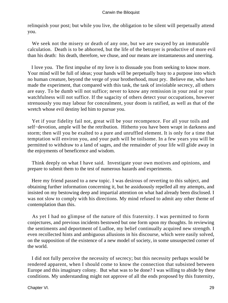relinquish your post; but while you live, the obligation to be silent will perpetually attend you.

 We seek not the misery or death of any one, but we are swayed by an immutable calculation. Death is to be abhorred, but the life of the betrayer is productive of more evil than his death: his death, therefore, we chuse, and our means are instantaneous and unerring.

 I love you. The first impulse of my love is to dissuade you from seeking to know more. Your mind will be full of ideas; your hands will be perpetually busy to a purpose into which no human creature, beyond the verge of your brotherhood, must pry. Believe me, who have made the experiment, that compared with this task, the task of inviolable secrecy, all others are easy. To be dumb will not suffice; never to know any remission in your zeal or your watchfulness will not suffice. If the sagacity of others detect your occupations, however strenuously you may labour for concealment, your doom is ratified, as well as that of the wretch whose evil destiny led him to pursue you.

 Yet if your fidelity fail not, great will be your recompence. For all your toils and self−devotion, ample will be the retribution. Hitherto you have been wrapt in darkness and storm; then will you be exalted to a pure and unruffled element. It is only for a time that temptation will environ you, and your path will be toilsome. In a few years you will be permitted to withdraw to a land of sages, and the remainder of your life will glide away in the enjoyments of beneficence and wisdom.

 Think deeply on what I have said. Investigate your own motives and opinions, and prepare to submit them to the test of numerous hazards and experiments.

 Here my friend passed to a new topic. I was desirous of reverting to this subject, and obtaining further information concerning it, but he assiduously repelled all my attempts, and insisted on my bestowing deep and impartial attention on what had already been disclosed. I was not slow to comply with his directions. My mind refused to admit any other theme of contemplation than this.

 As yet I had no glimpse of the nature of this fraternity. I was permitted to form conjectures, and previous incidents bestowed but one form upon my thoughts. In reviewing the sentiments and deportment of Ludloe, my belief continually acquired new strength. I even recollected hints and ambiguous allusions in his discourse, which were easily solved, on the supposition of the existence of a new model of society, in some unsuspected corner of the world.

 I did not fully perceive the necessity of secrecy; but this necessity perhaps would be rendered apparent, when I should come to know the connection that subsisted between Europe and this imaginary colony. But what was to be done? I was willing to abide by these conditions. My understanding might not approve of all the ends proposed by this fraternity,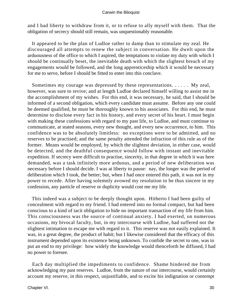and I had liberty to withdraw from it, or to refuse to ally myself with them. That the obligation of secrecy should still remain, was unquestionably reasonable.

 It appeared to be the plan of Ludloe rather to damp than to stimulate my zeal. He discouraged all attempts to renew the subject in conversation. He dwelt upon the arduousness of the office to which I aspired, the temptations to violate my duty with which I should be continually beset, the inevitable death with which the slightest breach of my engagements would be followed, and the long apprenticeship which it would be necessary for me to serve, before I should be fitted to enter into this conclave.

 Sometimes my courage was depressed by these representations. . . . . . My zeal, however, was sure to revive; and at length Ludloe declared himself willing to assist me in the accomplishment of my wishes. For this end, it was necessary, he said, that I should be informed of a second obligation, which every candidate must assume. Before any one could be deemed qualified, he must be thoroughly known to his associates. For this end, he must determine to disclose every fact in his history, and every secret of his heart. I must begin with making these confessions with regard to my past life, to Ludloe, and must continue to communicate, at stated seasons, every new thought, and every new occurrence, to him. This confidence was to be absolutely limitless: no exceptions were to be admitted, and no reserves to be practised; and the same penalty attended the infraction of this rule as of the former. Means would be employed, by which the slightest deviation, in either case, would be detected, and the deathful consequence would follow with instant and inevitable expedition. If secrecy were difficult to practise, sincerity, in that degree in which it was here demanded, was a task infinitely more arduous, and a period of new deliberation was necessary before I should decide. I was at liberty to pause: nay, the longer was the period of deliberation which I took, the better; but, when I had once entered this path, it was not in my power to recede. After having solemnly avowed my resolution to be thus sincere in my confession, any particle of reserve or duplicity would cost me my life.

 This indeed was a subject to be deeply thought upon. Hitherto I had been guilty of concealment with regard to my friend. I had entered into no formal compact, but had been conscious to a kind of tacit obligation to hide no important transaction of my life from him. This consciousness was the source of continual anxiety. I had exerted, on numerous occasions, my bivocal faculty, but, in my intercourse with Ludloe, had suffered not the slightest intimation to escape me with regard to it. This reserve was not easily explained. It was, in a great degree, the product of habit; but I likewise considered that the efficacy of this instrument depended upon its existence being unknown. To confide the secret to one, was to put an end to my privilege: how widely the knowledge would thenceforth be diffused, I had no power to foresee.

 Each day multiplied the impediments to confidence. Shame hindered me from acknowledging my past reserves. Ludloe, from the nature of our intercourse, would certainly account my reserve, in this respect, unjustifiable, and to excite his indignation or contempt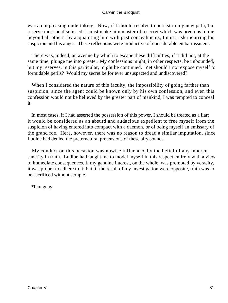was an unpleasing undertaking. Now, if I should resolve to persist in my new path, this reserve must be dismissed: I must make him master of a secret which was precious to me beyond all others; by acquainting him with past concealments, I must risk incurring his suspicion and his anger. These reflections were productive of considerable embarrassment.

 There was, indeed, an avenue by which to escape these difficulties, if it did not, at the same time, plunge me into greater. My confessions might, in other respects, be unbounded, but my reserves, in this particular, might be continued. Yet should I not expose myself to formidable perils? Would my secret be for ever unsuspected and undiscovered?

When I considered the nature of this faculty, the impossibility of going farther than suspicion, since the agent could be known only by his own confession, and even this confession would not be believed by the greater part of mankind, I was tempted to conceal it.

 In most cases, if I had asserted the possession of this power, I should be treated as a liar; it would be considered as an absurd and audacious expedient to free myself from the suspicion of having entered into compact with a daemon, or of being myself an emissary of the grand foe. Here, however, there was no reason to dread a similar imputation, since Ludloe had denied the preternatural pretensions of these airy sounds.

 My conduct on this occasion was nowise influenced by the belief of any inherent sanctity in truth. Ludloe had taught me to model myself in this respect entirely with a view to immediate consequences. If my genuine interest, on the whole, was promoted by veracity, it was proper to adhere to it; but, if the result of my investigation were opposite, truth was to be sacrificed without scruple.

\*Paraguay.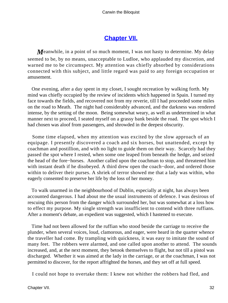## **[Chapter VII.](#page-51-0)**

<span id="page-32-0"></span>*M*eanwhile, in a point of so much moment, I was not hasty to determine. My delay seemed to be, by no means, unacceptable to Ludloe, who applauded my discretion, and warned me to be circumspect. My attention was chiefly absorbed by considerations connected with this subject, and little regard was paid to any foreign occupation or amusement.

 One evening, after a day spent in my closet, I sought recreation by walking forth. My mind was chiefly occupied by the review of incidents which happened in Spain. I turned my face towards the fields, and recovered not from my reverie, till I had proceeded some miles on the road to Meath. The night had considerably advanced, and the darkness was rendered intense, by the setting of the moon. Being somewhat weary, as well as undetermined in what manner next to proceed, I seated myself on a grassy bank beside the road. The spot which I had chosen was aloof from passengers, and shrowded in the deepest obscurity.

 Some time elapsed, when my attention was excited by the slow approach of an equipage. I presently discovered a coach and six horses, but unattended, except by coachman and postillion, and with no light to guide them on their way. Scarcely had they passed the spot where I rested, when some one leaped from beneath the hedge, and seized the head of the fore−horses. Another called upon the coachman to stop, and threatened him with instant death if he disobeyed. A third drew open the coach−door, and ordered those within to deliver their purses. A shriek of terror showed me that a lady was within, who eagerly consented to preserve her life by the loss of her money.

 To walk unarmed in the neighbourhood of Dublin, especially at night, has always been accounted dangerous. I had about me the usual instruments of defence. I was desirous of rescuing this person from the danger which surrounded her, but was somewhat at a loss how to effect my purpose. My single strength was insufficient to contend with three ruffians. After a moment's debate, an expedient was suggested, which I hastened to execute.

 Time had not been allowed for the ruffian who stood beside the carriage to receive the plunder, when several voices, loud, clamorous, and eager, were heard in the quarter whence the traveller had come. By trampling with quickness, it was easy to imitate the sound of many feet. The robbers were alarmed, and one called upon another to attend. The sounds increased, and, at the next moment, they betook themselves to flight, but not till a pistol was discharged. Whether it was aimed at the lady in the carriage, or at the coachman, I was not permitted to discover, for the report affrighted the horses, and they set off at full speed.

I could not hope to overtake them: I knew not whither the robbers had fled, and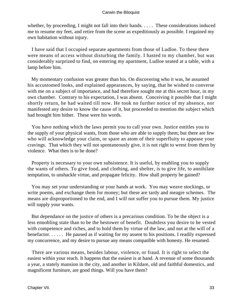whether, by proceeding, I might not fall into their hands. . . . . These considerations induced me to resume my feet, and retire from the scene as expeditiously as possible. I regained my own habitation without injury.

 I have said that I occupied separate apartments from those of Ludloe. To these there were means of access without disturbing the family. I hasted to my chamber, but was considerably surprized to find, on entering my apartment, Ludloe seated at a table, with a lamp before him.

 My momentary confusion was greater than his. On discovering who it was, he assumed his accustomed looks, and explained appearances, by saying, that he wished to converse with me on a subject of importance, and had therefore sought me at this secret hour, in my own chamber. Contrary to his expectation, I was absent. Conceiving it possible that I might shortly return, he had waited till now. He took no further notice of my absence, nor manifested any desire to know the cause of it, but proceeded to mention the subject which had brought him hither. These were his words.

 You have nothing which the laws permit you to call your own. Justice entitles you to the supply of your physical wants, from those who are able to supply them; but there are few who will acknowledge your claim, or spare an atom of their superfluity to appease your cravings. That which they will not spontaneously give, it is not right to wrest from them by violence. What then is to be done?

 Property is necessary to your own subsistence. It is useful, by enabling you to supply the wants of others. To give food, and clothing, and shelter, is to give life, to annihilate temptation, to unshackle virtue, and propagate felicity. How shall property be gained?

 You may set your understanding or your hands at work. You may weave stockings, or write poems, and exchange them for money; but these are tardy and meagre schemes. The means are disproportioned to the end, and I will not suffer you to pursue them. My justice will supply your wants.

 But dependance on the justice of others is a precarious condition. To be the object is a less ennobling state than to be the bestower of benefit. Doubtless you desire to be vested with competence and riches, and to hold them by virtue of the law, and not at the will of a benefactor. . . . . . He paused as if waiting for my assent to his positions. I readily expressed my concurrence, and my desire to pursue any means compatible with honesty. He resumed.

 There are various means, besides labour, violence, or fraud. It is right to select the easiest within your reach. It happens that the easiest is at hand. A revenue of some thousands a year, a stately mansion in the city, and another in Kildare, old and faithful domestics, and magnificent furniture, are good things. Will you have them?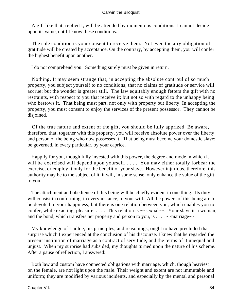A gift like that, replied I, will be attended by momentous conditions. I cannot decide upon its value, until I know these conditions.

 The sole condition is your consent to receive them. Not even the airy obligation of gratitude will be created by acceptance. On the contrary, by accepting them, you will confer the highest benefit upon another.

I do not comprehend you. Something surely must be given in return.

 Nothing. It may seem strange that, in accepting the absolute controul of so much property, you subject yourself to no conditions; that no claims of gratitude or service will accrue; but the wonder is greater still. The law equitably enough fetters the gift with no restraints, with respect to you that receive it; but not so with regard to the unhappy being who bestows it. That being must part, not only with property but liberty. In accepting the property, you must consent to enjoy the services of the present possessor. They cannot be disjoined.

 Of the true nature and extent of the gift, you should be fully apprized. Be aware, therefore, that, together with this property, you will receive absolute power over the liberty and person of the being who now possesses it. That being must become your domestic slave; be governed, in every particular, by your caprice.

 Happily for you, though fully invested with this power, the degree and mode in which it will be exercised will depend upon yourself. . . . . You may either totally forbear the exercise, or employ it only for the benefit of your slave. However injurious, therefore, this authority may be to the subject of it, it will, in some sense, only enhance the value of the gift to you.

 The attachment and obedience of this being will be chiefly evident in one thing. Its duty will consist in conforming, in every instance, to your will. All the powers of this being are to be devoted to your happiness; but there is one relation between you, which enables you to confer, while exacting, pleasure. . . . . This relation is  $\sim$ sexual $\sim$ . Your slave is a woman; and the bond, which transfers her property and person to you, is  $\dots$   $\sim$  marriage $\sim$ .

 My knowledge of Ludloe, his principles, and reasonings, ought to have precluded that surprise which I experienced at the conclusion of his discourse. I knew that he regarded the present institution of marriage as a contract of servitude, and the terms of it unequal and unjust. When my surprise had subsided, my thoughts turned upon the nature of his scheme. After a pause of reflection, I answered:

 Both law and custom have connected obligations with marriage, which, though heaviest on the female, are not light upon the male. Their weight and extent are not immutable and uniform; they are modified by various incidents, and especially by the mental and personal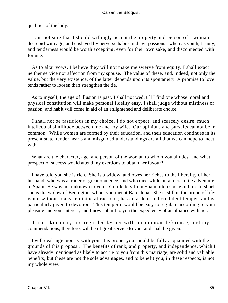qualities of the lady.

 I am not sure that I should willingly accept the property and person of a woman decrepid with age, and enslaved by perverse habits and evil passions: whereas youth, beauty, and tenderness would be worth accepting, even for their own sake, and disconnected with fortune.

 As to altar vows, I believe they will not make me swerve from equity. I shall exact neither service nor affection from my spouse. The value of these, and, indeed, not only the value, but the very existence, of the latter depends upon its spontaneity. A promise to love tends rather to loosen than strengthen the tie.

 As to myself, the age of illusion is past. I shall not wed, till I find one whose moral and physical constitution will make personal fidelity easy. I shall judge without mistiness or passion, and habit will come in aid of an enlightened and deliberate choice.

 I shall not be fastidious in my choice. I do not expect, and scarcely desire, much intellectual similitude between me and my wife. Our opinions and pursuits cannot be in common. While women are formed by their education, and their education continues in its present state, tender hearts and misguided understandings are all that we can hope to meet with.

 What are the character, age, and person of the woman to whom you allude? and what prospect of success would attend my exertions to obtain her favour?

 I have told you she is rich. She is a widow, and owes her riches to the liberality of her husband, who was a trader of great opulence, and who died while on a mercantile adventure to Spain. He was not unknown to you. Your letters from Spain often spoke of him. In short, she is the widow of Benington, whom you met at Barcelona. She is still in the prime of life; is not without many feminine attractions; has an ardent and credulent temper; and is particularly given to devotion. This temper it would be easy to regulate according to your pleasure and your interest, and I now submit to you the expediency of an alliance with her.

 I am a kinsman, and regarded by her with uncommon deference; and my commendations, therefore, will be of great service to you, and shall be given.

 I will deal ingenuously with you. It is proper you should be fully acquainted with the grounds of this proposal. The benefits of rank, and property, and independence, which I have already mentioned as likely to accrue to you from this marriage, are solid and valuable benefits; but these are not the sole advantages, and to benefit you, in these respects, is not my whole view.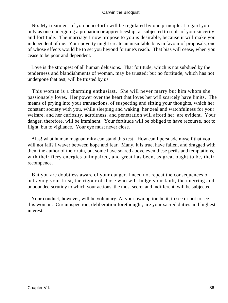No. My treatment of you henceforth will be regulated by one principle. I regard you only as one undergoing a probation or apprenticeship; as subjected to trials of your sincerity and fortitude. The marriage I now propose to you is desirable, because it will make you independent of me. Your poverty might create an unsuitable bias in favour of proposals, one of whose effects would be to set you beyond fortune's reach. That bias will cease, when you cease to be poor and dependent.

 Love is the strongest of all human delusions. That fortitude, which is not subdued by the tenderness and blandishments of woman, may be trusted; but no fortitude, which has not undergone that test, will be trusted by us.

 This woman is a charming enthusiast. She will never marry but him whom she passionately loves. Her power over the heart that loves her will scarcely have limits. The means of prying into your transactions, of suspecting and sifting your thoughts, which her constant society with you, while sleeping and waking, her zeal and watchfulness for your welfare, and her curiosity, adroitness, and penetration will afford her, are evident. Your danger, therefore, will be imminent. Your fortitude will be obliged to have recourse, not to flight, but to vigilance. Your eye must never close.

 Alas! what human magnanimity can stand this test! How can I persuade myself that you will not fail? I waver between hope and fear. Many, it is true, have fallen, and dragged with them the author of their ruin, but some have soared above even these perils and temptations, with their fiery energies unimpaired, and great has been, as great ought to be, their recompence.

 But you are doubtless aware of your danger. I need not repeat the consequences of betraying your trust, the rigour of those who will Judge your fault, the unerring and unbounded scrutiny to which your actions, the most secret and indifferent, will be subjected.

 Your conduct, however, will be voluntary. At your own option be it, to see or not to see this woman. Circumspection, deliberation forethought, are your sacred duties and highest interest.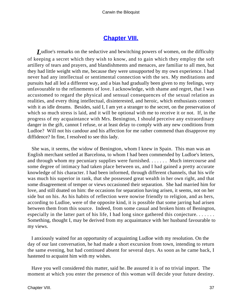## **[Chapter VIII.](#page-51-0)**

<span id="page-37-0"></span>*L*udloe's remarks on the seductive and bewitching powers of women, on the difficulty of keeping a secret which they wish to know, and to gain which they employ the soft artillery of tears and prayers, and blandishments and menaces, are familiar to all men, but they had little weight with me, because they were unsupported by my own experience. I had never had any intellectual or sentimental connection with the sex. My meditations and pursuits had all led a different way, and a bias had gradually been given to my feelings, very unfavourable to the refinements of love. I acknowledge, with shame and regret, that I was accustomed to regard the physical and sensual consequences of the sexual relation as realities, and every thing intellectual, disinterested, and heroic, which enthusiasts connect with it as idle dreams. Besides, said I, I am yet a stranger to the secret, on the preservation of which so much stress is laid, and it will be optional with me to receive it or not. If, in the progress of my acquaintance with Mrs. Benington, I should perceive any extraordinary danger in the gift, cannot I refuse, or at least delay to comply with any new conditions from Ludloe? Will not his candour and his affection for me rather commend than disapprove my diffidence? In fine, I resolved to see this lady.

 She was, it seems, the widow of Benington, whom I knew in Spain. This man was an English merchant settled at Barcelona, to whom I had been commended by Ludloe's letters, and through whom my pecuniary supplies were furnished. . . . . . . Much intercourse and some degree of intimacy had taken place between us, and I had gained a pretty accurate knowledge of his character. I had been informed, through different channels, that his wife was much his superior in rank, that she possessed great wealth in her own right, and that some disagreement of temper or views occasioned their separation. She had married him for love, and still doated on him: the occasions for separation having arisen, it seems, not on her side but on his. As his habits of reflection were nowise friendly to religion, and as hers, according to Ludloe, were of the opposite kind, it is possible that some jarring had arisen between them from this source. Indeed, from some casual and broken hints of Benington, especially in the latter part of his life, I had long since gathered this conjecture. . . . . . . . Something, thought I, may be derived from my acquaintance with her husband favourable to my views.

 I anxiously waited for an opportunity of acquainting Ludloe with my resolution. On the day of our last conversation, he had made a short excursion from town, intending to return the same evening, but had continued absent for several days. As soon as he came back, I hastened to acquaint him with my wishes.

 Have you well considered this matter, said he. Be assured it is of no trivial import. The moment at which you enter the presence of this woman will decide your future destiny.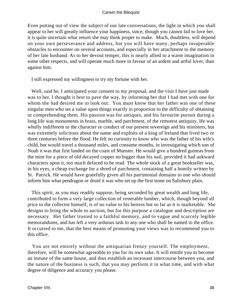Even putting out of view the subject of our late conversations, the light in which you shall appear to her will greatly influence your happiness, since, though you cannot fail to love her, it is quite uncertain what return she may think proper to make. Much, doubtless, will depend on your own perseverance and address, but you will have many, perhaps insuperable obstacles to encounter on several accounts, and especially in her attachment to the memory of her late husband. As to her devout temper, this is nearly allied to a warm imagination in some other respects, and will operate much more in favour of an ardent and artful lover, than against him.

I still expressed my willingness to try my fortune with her.

 Well, said he, I anticipated your consent to my proposal, and the visit I have just made was to her. I thought it best to pave the way, by informing her that I had met with one for whom she had desired me to look out. You must know that her father was one of these singular men who set a value upon things exactly in proportion to the difficulty of obtaining or comprehending them. His passion was for antiques, and his favourite pursuit during a long life was monuments in brass, marble, and parchment, of the remotest antiquity. He was wholly indifferent to the character or conduct of our present sovereign and his ministers, but was extremely solicitous about the name and exploits of a king of Ireland that lived two or three centuries before the flood. He felt no curiosity to know who was the father of his wife's child, but would travel a thousand miles, and consume months, in investigating which son of Noah it was that first landed on the coast of Munster. He would give a hundred guineas from the mint for a piece of old decayed copper no bigger than his nail, provided it had aukward characters upon it, too much defaced to be read. The whole stock of a great bookseller was, in his eyes, a cheap exchange for a shred of parchment, containing half a homily written by St. Patrick. He would have gratefully given all his patrimonial domains to one who should inform him what pendragon or druid it was who set up the first stone on Salisbury plain.

 This spirit, as you may readily suppose, being seconded by great wealth and long life, contributed to form a very large collection of venerable lumber, which, though beyond all price to the collector himself, is of no value to his heiress but so far as it is marketable. She designs to bring the whole to auction, but for this purpose a catalogue and description are necessary. Her father trusted to a faithful memory, and to vague and scarcely legible memorandums, and has left a very arduous task to any one who shall be named to the office. It occurred to me, that the best means of promoting your views was to recommend you to this office.

 You are not entirely without the antiquarian frenzy yourself. The employment, therefore, will be somewhat agreeable to you for its own sake. It will entitle you to become an inmate of the same house, and thus establish an incessant intercourse between you, and the nature of the business is such, that you may perform it in what time, and with what degree of diligence and accuracy you please.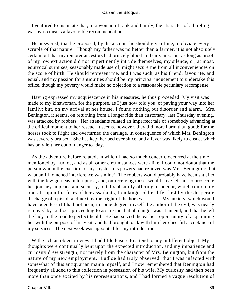I ventured to insinuate that, to a woman of rank and family, the character of a hireling was by no means a favourable recommendation.

 He answered, that he proposed, by the account he should give of me, to obviate every scruple of that nature. Though my father was no better than a farmer, it is not absolutely certain but that my remoter ancestors had princely blood in their veins: but as long as proofs of my low extraction did not impertinently intrude themselves, my silence, or, at most, equivocal surmises, seasonably made use of, might secure me from all inconveniences on the score of birth. He should represent me, and I was such, as his friend, favourite, and equal, and my passion for antiquities should be my principal inducement to undertake this office, though my poverty would make no objection to a reasonable pecuniary recompense.

 Having expressed my acquiescence in his measures, he thus proceeded: My visit was made to my kinswoman, for the purpose, as I just now told you, of paving your way into her family; but, on my arrival at her house, I found nothing but disorder and alarm. Mrs. Benington, it seems, on returning from a longer ride than customary, last Thursday evening, was attacked by robbers. Her attendants related an imperfect tale of somebody advancing at the critical moment to her rescue. It seems, however, they did more harm than good; for the horses took to flight and overturned the carriage, in consequence of which Mrs. Benington was severely bruised. She has kept her bed ever since, and a fever was likely to ensue, which has only left her out of danger to−day.

 As the adventure before related, in which I had so much concern, occurred at the time mentioned by Ludloe, and as all other circumstances were alike, I could not doubt that the person whom the exertion of my mysterious powers had relieved was Mrs. Benington: but what an ill−omened interference was mine! The robbers would probably have been satisfied with the few guineas in her purse, and, on receiving these, would have left her to prosecute her journey in peace and security, but, by absurdly offering a succour, which could only operate upon the fears of her assailants, I endangered her life, first by the desperate discharge of a pistol, and next by the fright of the horses. . . . . . . . My anxiety, which would have been less if I had not been, in some degree, myself the author of the evil, was nearly removed by Ludloe's proceeding to assure me that all danger was at an end, and that he left the lady in the road to perfect health. He had seized the earliest opportunity of acquainting her with the purpose of his visit, and had brought back with him her cheerful acceptance of my services. The next week was appointed for my introduction.

With such an object in view, I had little leisure to attend to any indifferent object. My thoughts were continually bent upon the expected introduction, and my impatience and curiosity drew strength, not merely from the character of Mrs. Benington, but from the nature of my new employment. Ludloe had truly observed, that I was infected with somewhat of this antiquarian mania myself, and I now remembered that Benington had frequently alluded to this collection in possession of his wife. My curiosity had then been more than once excited by his representations, and I had formed a vague resolution of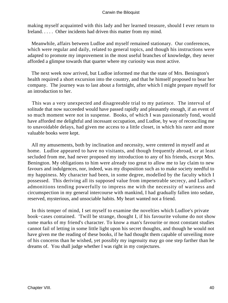making myself acquainted with this lady and her learned treasure, should I ever return to Ireland. . . . . Other incidents had driven this matter from my mind.

 Meanwhile, affairs between Ludloe and myself remained stationary. Our conferences, which were regular and daily, related to general topics, and though his instructions were adapted to promote my improvement in the most useful branches of knowledge, they never afforded a glimpse towards that quarter where my curiosity was most active.

 The next week now arrived, but Ludloe informed me that the state of Mrs. Benington's health required a short excursion into the country, and that he himself proposed to bear her company. The journey was to last about a fortnight, after which I might prepare myself for an introduction to her.

 This was a very unexpected and disagreeable trial to my patience. The interval of solitude that now succeeded would have passed rapidly and pleasantly enough, if an event of so much moment were not in suspense. Books, of which I was passionately fond, would have afforded me delightful and incessant occupation, and Ludloe, by way of reconciling me to unavoidable delays, had given me access to a little closet, in which his rarer and more valuable books were kept.

 All my amusements, both by inclination and necessity, were centered in myself and at home. Ludloe appeared to have no visitants, and though frequently abroad, or at least secluded from me, had never proposed my introduction to any of his friends, except Mrs. Benington. My obligations to him were already too great to allow me to lay claim to new favours and indulgences, nor, indeed, was my disposition such as to make society needful to my happiness. My character had been, in some degree, modelled by the faculty which I possessed. This deriving all its supposed value from impenetrable secrecy, and Ludloe's admonitions tending powerfully to impress me with the necessity of wariness and circumspection in my general intercourse with mankind, I had gradually fallen into sedate, reserved, mysterious, and unsociable habits. My heart wanted not a friend.

 In this temper of mind, I set myself to examine the novelties which Ludloe's private book−cases contained. 'Twill be strange, thought I, if his favourite volume do not show some marks of my friend's character. To know a man's favourite or most constant studies cannot fail of letting in some little light upon his secret thoughts, and though he would not have given me the reading of these books, if he had thought them capable of unveiling more of his concerns than he wished, yet possibly my ingenuity may go one step farther than he dreams of. You shall judge whether I was right in my conjectures.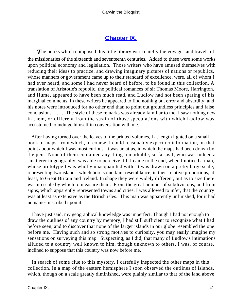## **[Chapter IX.](#page-51-0)**

<span id="page-41-0"></span>**The books which composed this little library were chiefly the voyages and travels of** the missionaries of the sixteenth and seventeenth centuries. Added to these were some works upon political economy and legislation. Those writers who have amused themselves with reducing their ideas to practice, and drawing imaginary pictures of nations or republics, whose manners or government came up to their standard of excellence, were, all of whom I had ever heard, and some I had never heard of before, to be found in this collection. A translation of Aristotle's republic, the political romances of sir Thomas Moore, Harrington, and Hume, appeared to have been much read, and Ludlow had not been sparing of his marginal comments. In these writers he appeared to find nothing but error and absurdity; and his notes were introduced for no other end than to point out groundless principles and false conclusions. . . . . The style of these remarks was already familiar to me. I saw nothing new in them, or different from the strain of those speculations with which Ludlow was accustomed to indulge himself in conversation with me.

 After having turned over the leaves of the printed volumes, I at length lighted on a small book of maps, from which, of course, I could reasonably expect no information, on that point about which I was most curious. It was an atlas, in which the maps had been drawn by the pen. None of them contained any thing remarkable, so far as I, who was indeed a smatterer in geography, was able to perceive, till I came to the end, when I noticed a map, whose prototype I was wholly unacquainted with. It was drawn on a pretty large scale, representing two islands, which bore some faint resemblance, in their relative proportions, at least, to Great Britain and Ireland. In shape they were widely different, but as to size there was no scale by which to measure them. From the great number of subdivisions, and from signs, which apparently represented towns and cities, I was allowed to infer, that the country was at least as extensive as the British isles. This map was apparently unfinished, for it had no names inscribed upon it.

 I have just said, my geographical knowledge was imperfect. Though I had not enough to draw the outlines of any country by memory, I had still sufficient to recognize what I had before seen, and to discover that none of the larger islands in our globe resembled the one before me. Having such and so strong motives to curiosity, you may easily imagine my sensations on surveying this map. Suspecting, as I did, that many of Ludlow's intimations alluded to a country well known to him, though unknown to others, I was, of course, inclined to suppose that this country was now before me.

 In search of some clue to this mystery, I carefully inspected the other maps in this collection. In a map of the eastern hemisphere I soon observed the outlines of islands, which, though on a scale greatly diminished, were plainly similar to that of the land above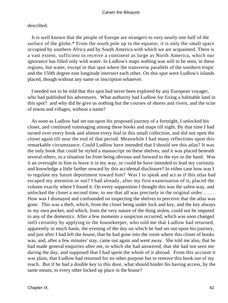described.

 It is well known that the people of Europe are strangers to very nearly one half of the surface of the globe.\* From the south pole up to the equator, it is only the small space occupied by southern Africa and by South America with which we are acquainted. There is a vast extent, sufficient to receive a continent as large as North America, which our ignorance has filled only with water. In Ludlow's maps nothing was still to be seen, in these regions, but water, except in that spot where the transverse parallels of the southern tropic and the 150th degree east longitude intersect each other. On this spot were Ludlow's islands placed, though without any name or inscription whatever.

 I needed not to be told that this spot had never been explored by any European voyager, who had published his adventures. What authority had Ludlow for fixing a habitable land in this spot? and why did he give us nothing but the courses of shores and rivers, and the scite of towns and villages, without a name?

 As soon as Ludlow had set out upon his proposed journey of a fortnight, I unlocked his closet, and continued rummaging among these books and maps till night. By that time I had turned over every book and almost every leaf in this small collection, and did not open the closet again till near the end of that period. Meanwhile I had many reflections upon this remarkable circumstance. Could Ludlow have intended that I should see this atlas? It was the only book that could be styled a manuscript on these shelves, and it was placed beneath several others, in a situation far from being obvious and forward to the eye or the hand. Was it an oversight in him to leave it in my way, or could he have intended to lead my curiosity and knowledge a little farther onward by this accidental disclosure? In either case how was I to regulate my future deportment toward him? Was I to speak and act as if this atlas had escaped my attention or not? I had already, after my first examination of it, placed the volume exactly where I found it. On every supposition I thought this was the safest way, and unlocked the closet a second time, to see that all was precisely in the original order. . . . . How was I dismayed and confounded on inspecting the shelves to perceive that the atlas was gone. This was a theft, which, from the closet being under lock and key, and the key always in my own pocket, and which, from the very nature of the thing stolen, could not be imputed to any of the domestics. After a few moments a suspicion occurred, which was soon changed intO certainty by applying to the housekeeper, who told me that Ludlow had returned, apparently in much haste, the evening of the day on which he had set out upon his journey, and just after I had left the house, that he had gone into the room where this closet of books was, and, after a few minutes' stay, came out again and went away. She told me also, that he had made general enquiries after me, to which she had answered, that she had not seen me during the day, and supposed that I had spent the whole of it abroad. From this account it was plain, that Ludlow had returned for no other purpose but to remove this book out of my reach. But if he had a double key to this door, what should hinder his having access, by the same means, to every other locked up place in the house?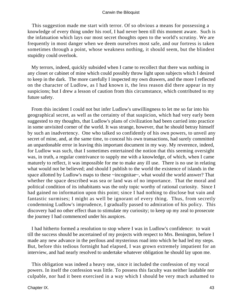This suggestion made me start with terror. Of so obvious a means for possessing a knowledge of every thing under his roof, I had never been till this moment aware. Such is the infatuation which lays our most secret thoughts open to the world's scrutiny. We are frequently in most danger when we deem ourselves most safe, and our fortress is taken sometimes through a point, whose weakness nothing, it should seem, but the blindest stupidity could overlook.

 My terrors, indeed, quickly subsided when I came to recollect that there was nothing in any closet or cabinet of mine which could possibly throw light upon subjects which I desired to keep in the dark. The more carefully I inspected my own drawers, and the more I reflected on the character of Ludlow, as I had known it, the less reason did there appear in my suspicions; but I drew a lesson of caution from this circumstance, which contributed to my future safety.

 From this incident I could not but infer Ludlow's unwillingness to let me so far into his geographical secret, as well as the certainty of that suspicion, which had very early been suggested to my thoughts, that Ludlow's plans of civilization had been carried into practice in some unvisited corner of the world. It was strange, however, that he should betray himself by such an inadvertency. One who talked so confidently of his own powers, to unveil any secret of mine, and, at the same time, to conceal his own transactions, had surely committed an unpardonable error in leaving this important document in my way. My reverence, indeed, for Ludlow was such, that I sometimes entertained the notion that this seeming oversight was, in truth, a regular contrivance to supply me with a knowledge, of which, when I came maturely to reflect, it was impossible for me to make any ill use. There is no use in relating what would not be believed; and should I publish to the world the existence of islands in the space allotted by Ludlow's maps to these ~incognitae~, what would the world answer? That whether the space described was sea or land was of no importance. That the moral and political condition of its inhabitants was the only topic worthy of rational curiosity. Since I had gained no information upon this point; since I had nothing to disclose but vain and fantastic surmises; I might as well be ignorant of every thing. Thus, from secretly condemning Ludlow's imprudence, I gradually passed to admiration of his policy. This discovery had no other effect than to stimulate my curiosity; to keep up my zeal to prosecute the journey I had commenced under his auspices.

 I had hitherto formed a resolution to stop where I was in Ludlow's confidence: to wait till the success should be ascertained of my projects with respect to Mrs. Benington, before I made any new advance in the perilous and mysterious road into which he had led my steps. But, before this tedious fortnight had elapsed, I was grown extremely impatient for an interview, and had nearly resolved to undertake whatever obligation he should lay upon me.

 This obligation was indeed a heavy one, since it included the confession of my vocal powers. In itself the confession was little. To possess this faculty was neither laudable nor culpable, nor had it been exercised in a way which I should be very much ashamed to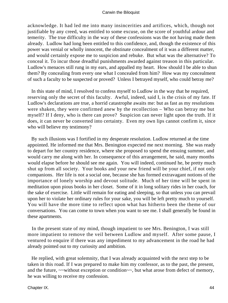acknowledge. It had led me into many insincerities and artifices, which, though not justifiable by any creed, was entitled to some excuse, on the score of youthful ardour and temerity. The true difficulty in the way of these confessions was the not having made them already. Ludlow had long been entitled to this confidence, and, though the existence of this power was venial or wholly innocent, the obstinate concealment of it was a different matter, and would certainly expose me to suspicion and rebuke. But what was the alternative? To conceal it. To incur those dreadful punishments awarded against treason in this particular. Ludlow's menaces still rung in my ears, and appalled my heart. How should I be able to shun them? By concealing from every one what I concealed from him? How was my concealment of such a faculty to be suspected or proved? Unless I betrayed myself, who could betray me?

 In this state of mind, I resolved to confess myself to Ludlow in the way that he required, reserving only the secret of this faculty. Awful, indeed, said I, is the crisis of my fate. If Ludlow's declarations are true, a horrid catastrophe awaits me: but as fast as my resolutions were shaken, they were confirmed anew by the recollection – Who can betray me but myself? If I deny, who is there can prove? Suspicion can never light upon the truth. If it does, it can never be converted into certainty. Even my own lips cannot confirm it, since who will believe my testimony?

 By such illusions was I fortified in my desperate resolution. Ludlow returned at the time appointed. He informed me that Mrs. Benington expected me next morning. She was ready to depart for her country residence, where she proposed to spend the ensuing summer, and would carry me along with her. In consequence of this arrangement, he said, many months would elapse before he should see me again. You will indeed, continued he, be pretty much shut up from all society. Your books and your new friend will be your chief, if not only companions. Her life is not a social one, because she has formed extravagant notions of the importance of lonely worship and devout solitude. Much of her time will be spent in meditation upon pious books in her closet. Some of it in long solitary rides in her coach, for the sake of exercise. Little will remain for eating and sleeping, so that unless you can prevail upon her to violate her ordinary rules for your sake, you will be left pretty much to yourself. You will have the more time to reflect upon what has hitherto been the theme of our conversations. You can come to town when you want to see me. I shall generally be found in these apartments.

 In the present state of my mind, though impatient to see Mrs. Benington, I was still more impatient to remove the veil between Ludlow and myself. After some pause, I ventured to enquire if there was any impediment to my advancement in the road he had already pointed out to my curiosity and ambition.

 He replied, with great solemnity, that I was already acquainted with the next step to be taken in this road. If I was prepared to make him my confessor, as to the past, the present, and the future, ~~without exception or condition~~, but what arose from defect of memory, he was willing to receive my confession.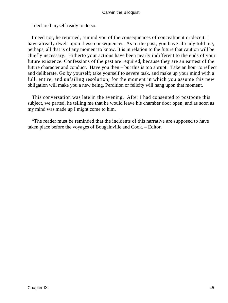I declared myself ready to do so.

 I need not, he returned, remind you of the consequences of concealment or deceit. I have already dwelt upon these consequences. As to the past, you have already told me, perhaps, all that is of any moment to know. It is in relation to the future that caution will be chiefly necessary. Hitherto your actions have been nearly indifferent to the ends of your future existence. Confessions of the past are required, because they are an earnest of the future character and conduct. Have you then – but this is too abrupt. Take an hour to reflect and deliberate. Go by yourself; take yourself to severe task, and make up your mind with a full, entire, and unfailing resolution; for the moment in which you assume this new obligation will make you a new being. Perdition or felicity will hang upon that moment.

 This conversation was late in the evening. After I had consented to postpone this subject, we parted, he telling me that he would leave his chamber door open, and as soon as my mind was made up I might come to him.

 \*The reader must be reminded that the incidents of this narrative are supposed to have taken place before the voyages of Bougainville and Cook. – Editor.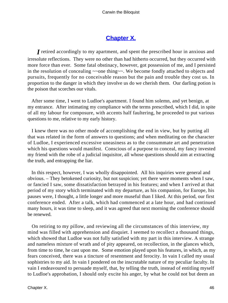# **[Chapter X.](#page-51-0)**

<span id="page-46-0"></span>*I* retired accordingly to my apartment, and spent the prescribed hour in anxious and irresolute reflections. They were no other than had hitherto occurred, but they occurred with more force than ever. Some fatal obstinacy, however, got possession of me, and I persisted in the resolution of concealing  $\sim$  one thing $\sim$ . We become fondly attached to objects and pursuits, frequently for no conceivable reason but the pain and trouble they cost us. In proportion to the danger in which they involve us do we cherish them. Our darling potion is the poison that scorches our vitals.

 After some time, I went to Ludloe's apartment. I found him solemn, and yet benign, at my entrance. After intimating my compliance with the terms prescribed, which I did, in spite of all my labour for composure, with accents half faultering, he proceeded to put various questions to me, relative to my early history.

 I knew there was no other mode of accomplishing the end in view, but by putting all that was related in the form of answers to questions; and when meditating on the character of Ludloe, I experienced excessive uneasiness as to the consummate art and penetration which his questions would manifest. Conscious of a purpose to conceal, my fancy invested my friend with the robe of a judicial inquisitor, all whose questions should aim at extracting the truth, and entrapping the liar.

 In this respect, however, I was wholly disappointed. All his inquiries were general and obvious. – They betokened curiosity, but not suspicion; yet there were moments when I saw, or fancied I saw, some dissatisfaction betrayed in his features; and when I arrived at that period of my story which terminated with my departure, as his companion, for Europe, his pauses were, I thought, a little longer and more museful than I liked. At this period, our first conference ended. After a talk, which had commenced at a late hour, and had continued many hours, it was time to sleep, and it was agreed that next morning the conference should be renewed.

 On retiring to my pillow, and reviewing all the circumstances of this interview, my mind was filled with apprehension and disquiet. I seemed to recollect a thousand things, which showed that Ludloe was not fully satisfied with my part in this interview. A strange and nameless mixture of wrath and of pity appeared, on recollection, in the glances which, from time to time, he cast upon me. Some emotion played upon his features, in which, as my fears conceived, there was a tincture of resentment and ferocity. In vain I called my usual sophistries to my aid. In vain I pondered on the inscrutable nature of my peculiar faculty. In vain I endeavoured to persuade myself, that, by telling the truth, instead of entitling myself to Ludloe's approbation, I should only excite his anger, by what he could not but deem an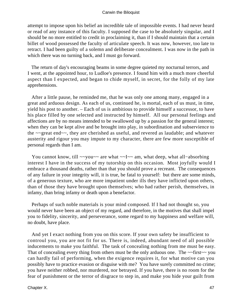attempt to impose upon his belief an incredible tale of impossible events. I had never heard or read of any instance of this faculty. I supposed the case to be absolutely singular, and I should be no more entitled to credit in proclaiming it, than if I should maintain that a certain billet of wood possessed the faculty of articulate speech. It was now, however, too late to retract. I had been guilty of a solemn and deliberate concealment. I was now in the path in which there was no turning back, and I must go forward.

 The return of day's encouraging beams in some degree quieted my nocturnal terrors, and I went, at the appointed hour, to Ludloe's presence. I found him with a much more cheerful aspect than I expected, and began to chide myself, in secret, for the folly of my late apprehensions.

 After a little pause, he reminded me, that he was only one among many, engaged in a great and arduous design. As each of us, continued he, is mortal, each of us must, in time, yield his post to another. – Each of us is ambitious to provide himself a successor, to have his place filled by one selected and instructed by himself. All our personal feelings and affections are by no means intended to be swallowed up by a passion for the general interest; when they can be kept alive and be brought into play, in subordination and subservience to the ~~great end~~, they are cherished as useful, and revered as laudable; and whatever austerity and rigour you may impute to my character, there are few more susceptible of personal regards than I am.

 You cannot know, till ~~you~~ are what ~~I~~ am, what deep, what all−absorbing interest I have in the success of my tutorship on this occasion. Most joyfully would I embrace a thousand deaths, rather than that you should prove a recreant. The consequences of any failure in your integrity will, it is true, be fatal to yourself: but there are some minds, of a generous texture, who are more impatient under ills they have inflicted upon others, than of those they have brought upon themselves; who had rather perish, themselves, in infamy, than bring infamy or death upon a benefactor.

 Perhaps of such noble materials is your mind composed. If I had not thought so, you would never have been an object of my regard, and therefore, in the motives that shall impel you to fidelity, sincerity, and perseverance, some regard to my happiness and welfare will, no doubt, have place.

 And yet I exact nothing from you on this score. If your own safety be insufficient to controul you, you are not fit for us. There is, indeed, abundant need of all possible inducements to make you faithful. The task of concealing nothing from me must be easy. That of concealing every thing from others must be the only arduous one. The ~~first~~ you can hardly fail of performing, when the exigence requires it, for what motive can you possibly have to practice evasion or disguise with me? You have surely committed no crime; you have neither robbed, nor murdered, nor betrayed. If you have, there is no room for the fear of punishment or the terror of disgrace to step in, and make you hide your guilt from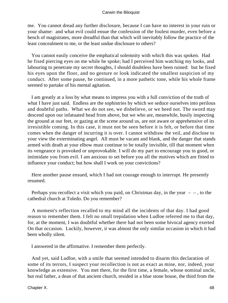me. You cannot dread any further disclosure, because I can have no interest in your ruin or your shame: and what evil could ensue the confession of the foulest murder, even before a bench of magistrates, more dreadful than that which will inevitably follow the practice of the least concealment to me, or the least undue disclosure to others?

 You cannot easily conceive the emphatical solemnity with which this was spoken. Had he fixed piercing eyes on me while he spoke; had I perceived him watching my looks, and labouring to penetrate my secret thoughts, I should doubtless have been ruined: but he fixed his eyes upon the floor, and no gesture or look indicated the smallest suspicion of my conduct. After some pause, he continued, in a more pathetic tone, while his whole frame seemed to partake of his mental agitation.

 I am greatly at a loss by what means to impress you with a full conviction of the truth of what I have just said. Endless are the sophistries by which we seduce ourselves into perilous and doubtful paths. What we do not see, we disbelieve, or we heed not. The sword may descend upon our infatuated head from above, but we who are, meanwhile, busily inspecting the ground at our feet, or gazing at the scene around us, are not aware or apprehensive of its irresistible coming. In this case, it must not be seen before it is felt, or before that time comes when the danger of incurring it is over. I cannot withdraw the veil, and disclose to your view the exterminating angel. All must be vacant and blank, and the danger that stands armed with death at your elbow must continue to be totally invisible, till that moment when its vengeance is provoked or unprovokable. I will do my part to encourage you in good, or intimidate you from evil. I am anxious to set before you all the motives which are fitted to influence your conduct; but how shall I work on your convictions?

 Here another pause ensued, which I had not courage enough to interrupt. He presently resumed.

Perhaps you recollect a visit which you paid, on Christmas day, in the year  $-$ , to the cathedral church at Toledo. Do you remember?

 A moment's reflection recalled to my mind all the incidents of that day. I had good reason to remember them. I felt no small trepidation when Ludloe referred me to that day, for, at the moment, I was doubtful whether there had not been some bivocal agency exerted On that occasion. Luckily, however, it was almost the only similar occasion in which it had been wholly silent.

I answered in the affirmative. I remember them perfectly.

 And yet, said Ludloe, with a smile that seemed intended to disarm this declaration of some of its terrors, I suspect your recollection is not as exact as mine, nor, indeed, your knowledge as extensive. You met there, for the first time, a female, whose nominal uncle, but real father, a dean of that ancient church, resided in a blue stone house, the third from the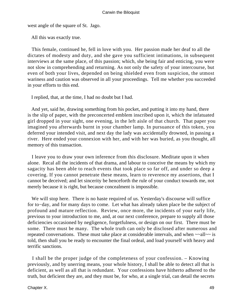west angle of the square of St. Jago.

All this was exactly true.

 This female, continued he, fell in love with you. Her passion made her deaf to all the dictates of modesty and duty, and she gave you sufficient intimations, in subsequent interviews at the same place, of this passion; which, she being fair and enticing, you were not slow in comprehending and returning. As not only the safety of your intercourse, but even of both your lives, depended on being shielded even from suspicion, the utmost wariness and caution was observed in all your proceedings. Tell me whether you succeeded in your efforts to this end.

I replied, that, at the time, I had no doubt but I had.

 And yet, said he, drawing something from his pocket, and putting it into my hand, there is the slip of paper, with the preconcerted emblem inscribed upon it, which the infatuated girl dropped in your sight, one evening, in the left aisle of that church. That paper you imagined you afterwards burnt in your chamber lamp. In pursuance of this token, you deferred your intended visit, and next day the lady was accidentally drowned, in passing a river. Here ended your connexion with her, and with her was buried, as you thought, all memory of this transaction.

 I leave you to draw your own inference from this disclosure. Meditate upon it when alone. Recal all the incidents of that drama, and labour to conceive the means by which my sagacity has been able to reach events that took place so far off, and under so deep a covering. If you cannot penetrate these means, learn to reverence my assertions, that I cannot be deceived; and let sincerity be henceforth the rule of your conduct towards me, not merely because it is right, but because concealment is impossible.

 We will stop here. There is no haste required of us. Yesterday's discourse will suffice for to−day, and for many days to come. Let what has already taken place be the subject of profound and mature reflection. Review, once more, the incidents of your early life, previous to your introduction to me, and, at our next conference, prepare to supply all those deficiencies occasioned by negligence, forgetfulness, or design on our first. There must be some. There must be many. The whole truth can only be disclosed after numerous and repeated conversations. These must take place at considerable intervals, and when  $\sim$ -all $\sim$  is told, then shall you be ready to encounter the final ordeal, and load yourself with heavy and terrific sanctions.

 I shall be the proper judge of the completeness of your confession. – Knowing previously, and by unerring means, your whole history, I shall be able to detect all that is deficient, as well as all that is redundant. Your confessions have hitherto adhered to the truth, but deficient they are, and they must be, for who, at a single trial, can detail the secrets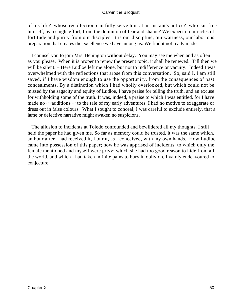of his life? whose recollection can fully serve him at an instant's notice? who can free himself, by a single effort, from the dominion of fear and shame? We expect no miracles of fortitude and purity from our disciples. It is our discipline, our wariness, our laborious preparation that creates the excellence we have among us. We find it not ready made.

 I counsel you to join Mrs. Benington without delay. You may see me when and as often as you please. When it is proper to renew the present topic, it shall be renewed. Till then we will be silent. – Here Ludloe left me alone, but not to indifference or vacuity. Indeed I was overwhelmed with the reflections that arose from this conversation. So, said I, I am still saved, if I have wisdom enough to use the opportunity, from the consequences of past concealments. By a distinction which I had wholly overlooked, but which could not be missed by the sagacity and equity of Ludloe, I have praise for telling the truth, and an excuse for withholding some of the truth. It was, indeed, a praise to which I was entitled, for I have made no  $\sim$  additions  $\sim$  to the tale of my early adventures. I had no motive to exaggerate or dress out in false colours. What I sought to conceal, I was careful to exclude entirely, that a lame or defective narrative might awaken no suspicions.

 The allusion to incidents at Toledo confounded and bewildered all my thoughts. I still held the paper he had given me. So far as memory could be trusted, it was the same which, an hour after I had received it, I burnt, as I conceived, with my own hands. How Ludloe came into possession of this paper; how he was apprised of incidents, to which only the female mentioned and myself were privy; which she had too good reason to hide from all the world, and which I had taken infinite pains to bury in oblivion, I vainly endeavoured to conjecture.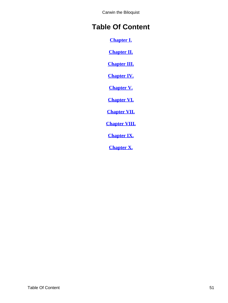# <span id="page-51-0"></span>**Table Of Content**

**[Chapter I.](#page-3-0)**

**[Chapter II.](#page-8-0)**

**[Chapter III.](#page-12-0)**

**[Chapter IV.](#page-17-0)**

**[Chapter V.](#page-21-0)**

**[Chapter VI.](#page-26-0)**

**[Chapter VII.](#page-32-0)**

**[Chapter VIII.](#page-37-0)**

**[Chapter IX.](#page-41-0)**

**[Chapter X.](#page-46-0)**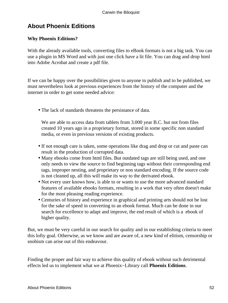## <span id="page-52-0"></span>**About Phoenix Editions**

## **Why Phoenix Editions?**

With the already available tools, converting files to eBook formats is not a big task. You can use a plugin in MS Word and with just one click have a lit file. You can drag and drop html into Adobe Acrobat and create a pdf file.

If we can be happy over the possibilities given to anyone to publish and to be published, we must nevertheless look at previous experiences from the history of the computer and the internet in order to get some needed advice:

• The lack of standards threatens the persistance of data.

We are able to access data from tablets from 3.000 year B.C. but not from files created 10 years ago in a proprietary format, stored in some specific non standard media, or even in previous versions of existing products.

- If not enough care is taken, some operations like drag and drop or cut and paste can result in the production of corrupted data.
- Many ebooks come from html files. But outdated tags are still being used, and one only needs to view the source to find beginning tags without their corresponding end tags, improper nesting, and proprietary or non standard encoding. If the source code is not cleaned up, all this will make its way to the derivated ebook.
- Not every user knows how, is able to or wants to use the more advanced standard features of available ebooks formats, resulting in a work that very often doesn't make for the most pleasing reading experience.
- Centuries of history and experience in graphical and printing arts should not be lost for the sake of speed in converting to an ebook format. Much can be done in our search for excellence to adapt and improve, the end result of which is a ebook of higher quality.

But, we must be very careful in our search for quality and in our establishing criteria to meet this lofty goal. Otherwise, as we know and are aware of, a new kind of elitism, censorship or snobism can arise out of this endeavour.

Finding the proper and fair way to achieve this quality of ebook without such detrimental effects led us to implement what we at Phoenix−Library call **Phoenix Editions**.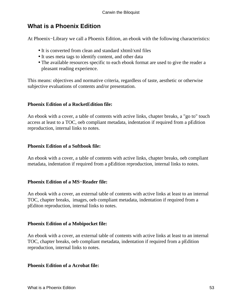## **What is a Phoenix Edition**

At Phoenix−Library we call a Phoenix Edition, an ebook with the following characteristics:

- It is converted from clean and standard xhtml/xml files
- It uses meta tags to identify content, and other data
- The available resources specific to each ebook format are used to give the reader a pleasant reading experience.

This means: objectives and normative criteria, regardless of taste, aesthetic or otherwise subjective evaluations of contents and/or presentation.

## **Phoenix Edition of a RocketEdition file:**

An ebook with a cover, a table of contents with active links, chapter breaks, a "go to" touch access at least to a TOC, oeb compliant metadata, indentation if required from a pEdition reproduction, internal links to notes.

## **Phoenix Edition of a Softbook file:**

An ebook with a cover, a table of contents with active links, chapter breaks, oeb compliant metadata, indentation if required from a pEdition reproduction, internal links to notes.

#### **Phoenix Edition of a MS−Reader file:**

An ebook with a cover, an external table of contents with active links at least to an internal TOC, chapter breaks, images, oeb compliant metadata, indentation if required from a pEditon reproduction, internal links to notes.

## **Phoenix Edition of a Mobipocket file:**

An ebook with a cover, an external table of contents with active links at least to an internal TOC, chapter breaks, oeb compliant metadata, indentation if required from a pEdition reproduction, internal links to notes.

#### **Phoenix Edition of a Acrobat file:**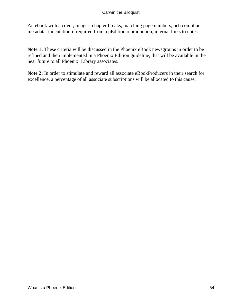An ebook with a cover, images, chapter breaks, matching page numbers, oeb compliant metadata, indentation if required from a pEdition reproduction, internal links to notes.

**Note 1:** These criteria will be discussed in the Phoenix eBook newsgroups in order to be refined and then implemented in a Phoenix Edition guideline, that will be available in the near future to all Phoenix−Library associates.

**Note 2:** In order to stimulate and reward all associate eBookProducers in their search for excellence, a percentage of all associate subscriptions will be allocated to this cause.